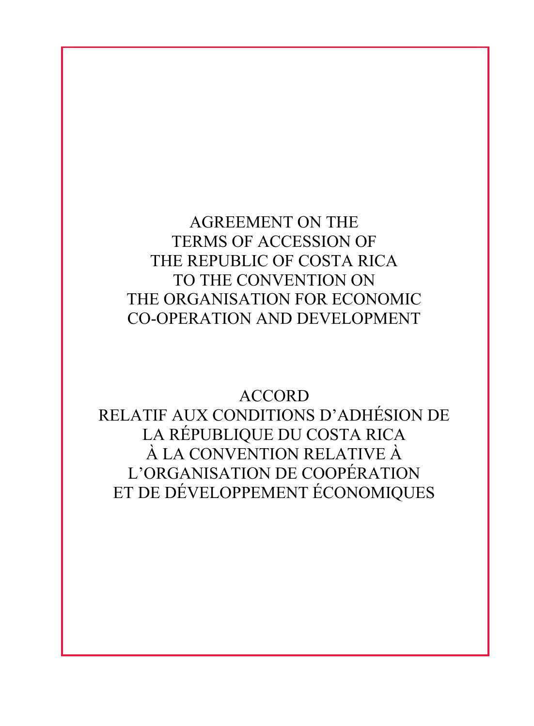AGREEMENT ON THE TERMS OF ACCESSION OF THE REPUBLIC OF COSTA RICA TO THE CONVENTION ON THE ORGANISATION FOR ECONOMIC CO-OPERATION AND DEVELOPMENT

ACCORD RELATIF AUX CONDITIONS D'ADHÉSION DE LA RÉPUBLIQUE DU COSTA RICA À LA CONVENTION RELATIVE À L'ORGANISATION DE COOPÉRATION ET DE DÉVELOPPEMENT ÉCONOMIQUES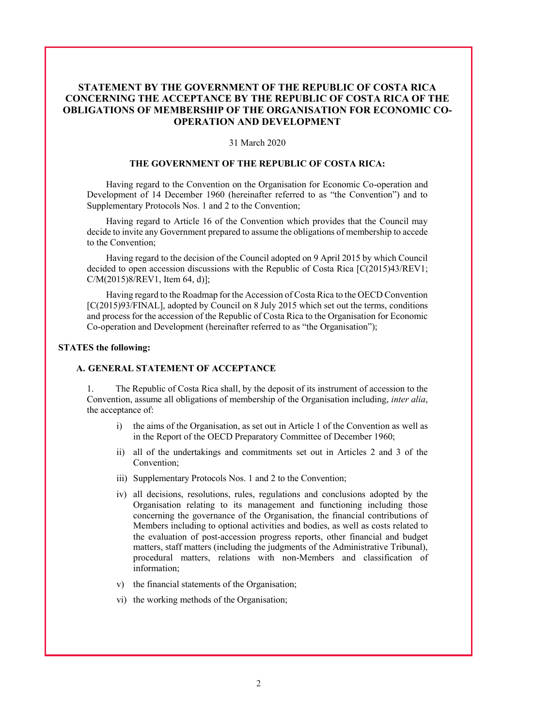# **STATEMENT BY THE GOVERNMENT OF THE REPUBLIC OF COSTA RICA CONCERNING THE ACCEPTANCE BY THE REPUBLIC OF COSTA RICA OF THE OBLIGATIONS OF MEMBERSHIP OF THE ORGANISATION FOR ECONOMIC CO-OPERATION AND DEVELOPMENT**

#### 31 March 2020

#### **THE GOVERNMENT OF THE REPUBLIC OF COSTA RICA:**

Having regard to the Convention on the Organisation for Economic Co-operation and Development of 14 December 1960 (hereinafter referred to as "the Convention") and to Supplementary Protocols Nos. 1 and 2 to the Convention;

Having regard to Article 16 of the Convention which provides that the Council may decide to invite any Government prepared to assume the obligations of membership to accede to the Convention;

Having regard to the decision of the Council adopted on 9 April 2015 by which Council decided to open accession discussions with the Republic of Costa Rica [C(2015)43/REV1; C/M(2015)8/REV1, Item 64, d)];

Having regard to the Roadmap for the Accession of Costa Rica to the OECD Convention [C(2015)93/FINAL], adopted by Council on 8 July 2015 which set out the terms, conditions and process for the accession of the Republic of Costa Rica to the Organisation for Economic Co-operation and Development (hereinafter referred to as "the Organisation");

#### **STATES the following:**

#### **A. GENERAL STATEMENT OF ACCEPTANCE**

1. The Republic of Costa Rica shall, by the deposit of its instrument of accession to the Convention, assume all obligations of membership of the Organisation including, *inter alia*, the acceptance of:

- i) the aims of the Organisation, as set out in Article 1 of the Convention as well as in the Report of the OECD Preparatory Committee of December 1960;
- ii) all of the undertakings and commitments set out in Articles 2 and 3 of the Convention;
- iii) Supplementary Protocols Nos. 1 and 2 to the Convention;
- iv) all decisions, resolutions, rules, regulations and conclusions adopted by the Organisation relating to its management and functioning including those concerning the governance of the Organisation, the financial contributions of Members including to optional activities and bodies, as well as costs related to the evaluation of post-accession progress reports, other financial and budget matters, staff matters (including the judgments of the Administrative Tribunal), procedural matters, relations with non-Members and classification of information;
- v) the financial statements of the Organisation;
- vi) the working methods of the Organisation;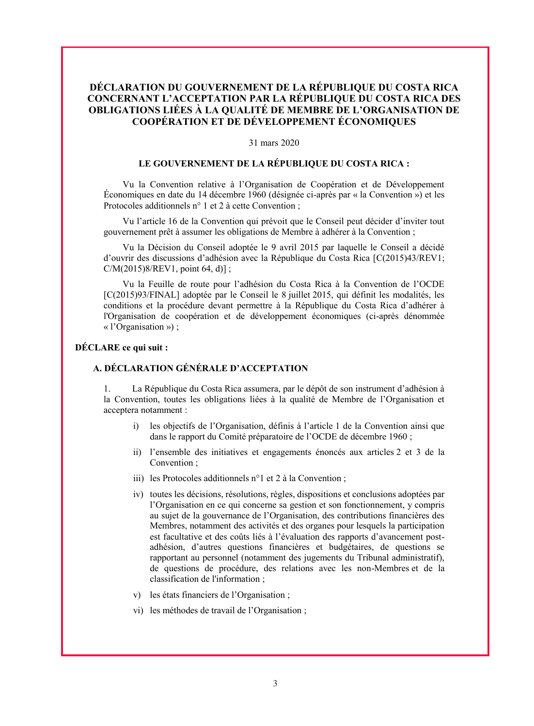# **DÉCLARATION DU GOUVERNEMENT DE LA RÉPUBLIQUE DU COSTA RICA CONCERNANT L'ACCEPTATION PAR LA RÉPUBLIQUE DU COSTA RICA DES OBLIGATIONS LIÉES À LA QUALITÉ DE MEMBRE DE L'ORGANISATION DE COOPÉRATION ET DE DÉVELOPPEMENT ÉCONOMIQUES**

#### 31 mars 2020

# **LE GOUVERNEMENT DE LA RÉPUBLIQUE DU COSTA RICA :**

Vu la Convention relative à l'Organisation de Coopération et de Développement Économiques en date du 14 décembre 1960 (désignée ci-après par « la Convention ») et les Protocoles additionnels n° 1 et 2 à cette Convention ;

Vu l'article 16 de la Convention qui prévoit que le Conseil peut décider d'inviter tout gouvernement prêt à assumer les obligations de Membre à adhérer à la Convention ;

Vu la Décision du Conseil adoptée le 9 avril 2015 par laquelle le Conseil a décidé d'ouvrir des discussions d'adhésion avec la République du Costa Rica [C(2015)43/REV1; C/M(2015)8/REV1, point 64, d)] ;

Vu la Feuille de route pour l'adhésion du Costa Rica à la Convention de l'OCDE [C(2015)93/FINAL] adoptée par le Conseil le 8 juillet 2015, qui définit les modalités, les conditions et la procédure devant permettre à la République du Costa Rica d'adhérer à l'Organisation de coopération et de développement économiques (ci-après dénommée « l'Organisation ») ;

#### **DÉCLARE ce qui suit :**

#### **A. DÉCLARATION GÉNÉRALE D'ACCEPTATION**

1. La République du Costa Rica assumera, par le dépôt de son instrument d'adhésion à la Convention, toutes les obligations liées à la qualité de Membre de l'Organisation et acceptera notamment :

- i) les objectifs de l'Organisation, définis à l'article 1 de la Convention ainsi que dans le rapport du Comité préparatoire de l'OCDE de décembre 1960 ;
- ii) l'ensemble des initiatives et engagements énoncés aux articles 2 et 3 de la Convention ;
- iii) les Protocoles additionnels n°1 et 2 à la Convention ;
- iv) toutes les décisions, résolutions, règles, dispositions et conclusions adoptées par l'Organisation en ce qui concerne sa gestion et son fonctionnement, y compris au sujet de la gouvernance de l'Organisation, des contributions financières des Membres, notamment des activités et des organes pour lesquels la participation est facultative et des coûts liés à l'évaluation des rapports d'avancement postadhésion, d'autres questions financières et budgétaires, de questions se rapportant au personnel (notamment des jugements du Tribunal administratif), de questions de procédure, des relations avec les non-Membres et de la classification de l'information ;
- v) les états financiers de l'Organisation ;
- vi) les méthodes de travail de l'Organisation ;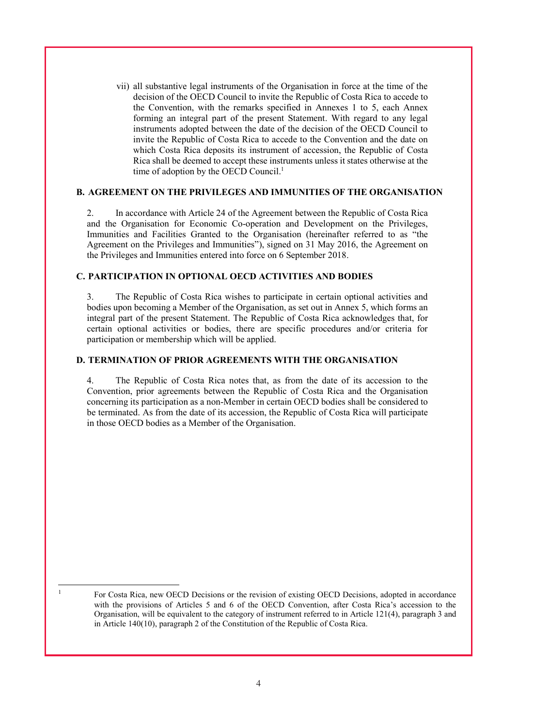vii) all substantive legal instruments of the Organisation in force at the time of the decision of the OECD Council to invite the Republic of Costa Rica to accede to the Convention, with the remarks specified in Annexes 1 to 5, each Annex forming an integral part of the present Statement. With regard to any legal instruments adopted between the date of the decision of the OECD Council to invite the Republic of Costa Rica to accede to the Convention and the date on which Costa Rica deposits its instrument of accession, the Republic of Costa Rica shall be deemed to accept these instruments unless it states otherwise at the time of adoption by the OECD Council. 1

## **B. AGREEMENT ON THE PRIVILEGES AND IMMUNITIES OF THE ORGANISATION**

2. In accordance with Article 24 of the Agreement between the Republic of Costa Rica and the Organisation for Economic Co-operation and Development on the Privileges, Immunities and Facilities Granted to the Organisation (hereinafter referred to as "the Agreement on the Privileges and Immunities"), signed on 31 May 2016, the Agreement on the Privileges and Immunities entered into force on 6 September 2018.

# **C. PARTICIPATION IN OPTIONAL OECD ACTIVITIES AND BODIES**

3. The Republic of Costa Rica wishes to participate in certain optional activities and bodies upon becoming a Member of the Organisation, as set out in Annex 5, which forms an integral part of the present Statement. The Republic of Costa Rica acknowledges that, for certain optional activities or bodies, there are specific procedures and/or criteria for participation or membership which will be applied.

# **D. TERMINATION OF PRIOR AGREEMENTS WITH THE ORGANISATION**

4. The Republic of Costa Rica notes that, as from the date of its accession to the Convention, prior agreements between the Republic of Costa Rica and the Organisation concerning its participation as a non-Member in certain OECD bodies shall be considered to be terminated. As from the date of its accession, the Republic of Costa Rica will participate in those OECD bodies as a Member of the Organisation.

<sup>&</sup>lt;sup>1</sup> For Costa Rica, new OECD Decisions or the revision of existing OECD Decisions, adopted in accordance with the provisions of Articles 5 and 6 of the OECD Convention, after Costa Rica's accession to the Organisation, will be equivalent to the category of instrument referred to in Article 121(4), paragraph 3 and in Article 140(10), paragraph 2 of the Constitution of the Republic of Costa Rica.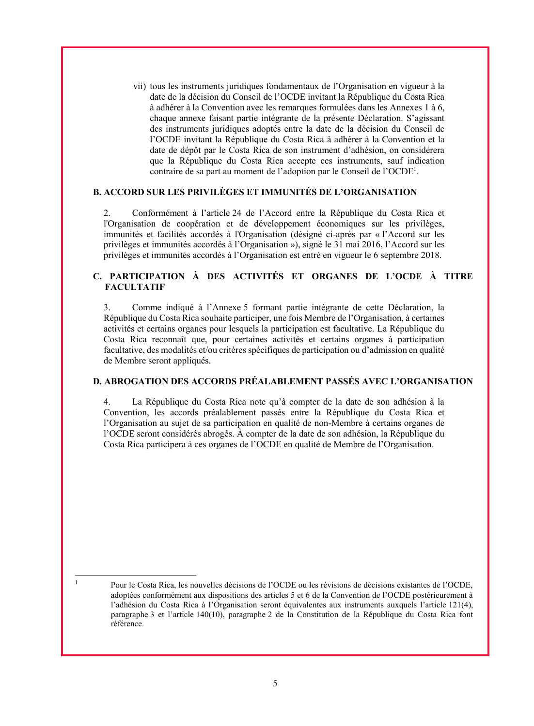vii) tous les instruments juridiques fondamentaux de l'Organisation en vigueur à la date de la décision du Conseil de l'OCDE invitant la République du Costa Rica à adhérer à la Convention avec les remarques formulées dans les Annexes 1 à 6, chaque annexe faisant partie intégrante de la présente Déclaration. S'agissant des instruments juridiques adoptés entre la date de la décision du Conseil de l'OCDE invitant la République du Costa Rica à adhérer à la Convention et la date de dépôt par le Costa Rica de son instrument d'adhésion, on considérera que la République du Costa Rica accepte ces instruments, sauf indication contraire de sa part au moment de l'adoption par le Conseil de l'OCDE<sup>1</sup> .

#### **B. ACCORD SUR LES PRIVILÈGES ET IMMUNITÉS DE L'ORGANISATION**

2. Conformément à l'article 24 de l'Accord entre la République du Costa Rica et l'Organisation de coopération et de développement économiques sur les privilèges, immunités et facilités accordés à l'Organisation (désigné ci-après par « l'Accord sur les privilèges et immunités accordés à l'Organisation »), signé le 31 mai 2016, l'Accord sur les privilèges et immunités accordés à l'Organisation est entré en vigueur le 6 septembre 2018.

# **C. PARTICIPATION À DES ACTIVITÉS ET ORGANES DE L'OCDE À TITRE FACULTATIF**

3. Comme indiqué à l'Annexe 5 formant partie intégrante de cette Déclaration, la République du Costa Rica souhaite participer, une fois Membre de l'Organisation, à certaines activités et certains organes pour lesquels la participation est facultative. La République du Costa Rica reconnaît que, pour certaines activités et certains organes à participation facultative, des modalités et/ou critères spécifiques de participation ou d'admission en qualité de Membre seront appliqués.

### **D. ABROGATION DES ACCORDS PRÉALABLEMENT PASSÉS AVEC L'ORGANISATION**

4. La République du Costa Rica note qu'à compter de la date de son adhésion à la Convention, les accords préalablement passés entre la République du Costa Rica et l'Organisation au sujet de sa participation en qualité de non-Membre à certains organes de l'OCDE seront considérés abrogés. À compter de la date de son adhésion, la République du Costa Rica participera à ces organes de l'OCDE en qualité de Membre de l'Organisation.

<sup>&</sup>lt;sup>1</sup> Pour le Costa Rica, les nouvelles décisions de l'OCDE ou les révisions de décisions existantes de l'OCDE, adoptées conformément aux dispositions des articles 5 et 6 de la Convention de l'OCDE postérieurement à l'adhésion du Costa Rica à l'Organisation seront équivalentes aux instruments auxquels l'article 121(4), paragraphe 3 et l'article 140(10), paragraphe 2 de la Constitution de la République du Costa Rica font référence.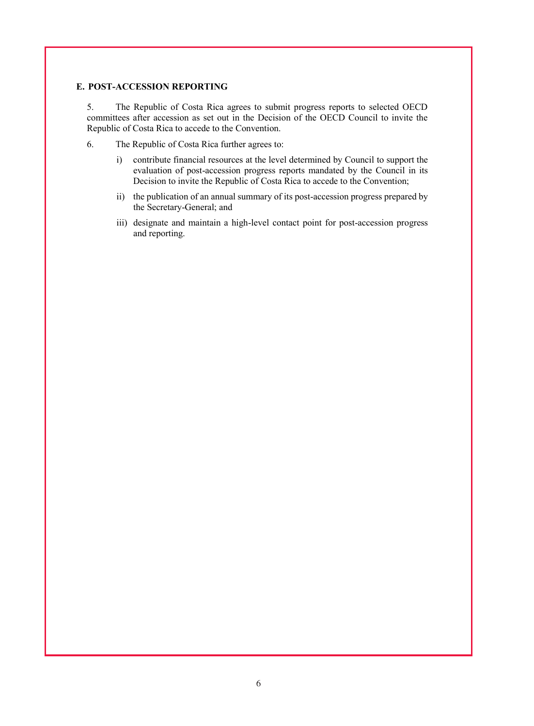## **E. POST-ACCESSION REPORTING**

5. The Republic of Costa Rica agrees to submit progress reports to selected OECD committees after accession as set out in the Decision of the OECD Council to invite the Republic of Costa Rica to accede to the Convention.

- 6. The Republic of Costa Rica further agrees to:
	- i) contribute financial resources at the level determined by Council to support the evaluation of post-accession progress reports mandated by the Council in its Decision to invite the Republic of Costa Rica to accede to the Convention;
	- ii) the publication of an annual summary of its post-accession progress prepared by the Secretary-General; and
	- iii) designate and maintain a high-level contact point for post-accession progress and reporting.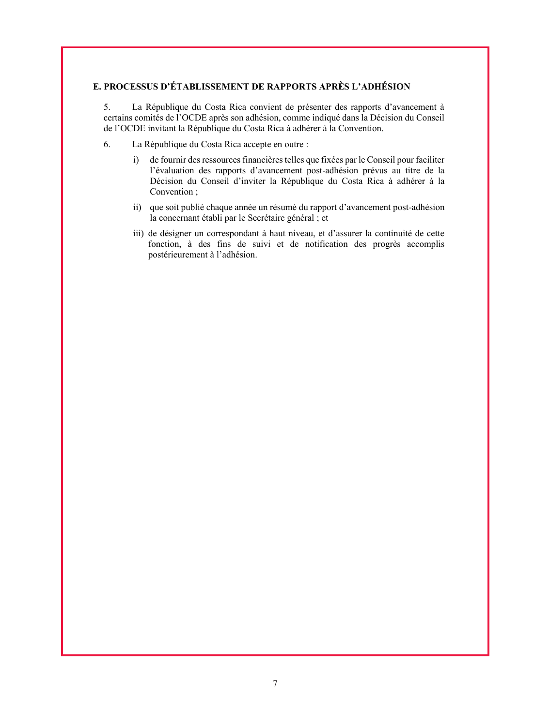# **E. PROCESSUS D'ÉTABLISSEMENT DE RAPPORTS APRÈS L'ADHÉSION**

5. La République du Costa Rica convient de présenter des rapports d'avancement à certains comités de l'OCDE après son adhésion, comme indiqué dans la Décision du Conseil de l'OCDE invitant la République du Costa Rica à adhérer à la Convention.

- 6. La République du Costa Rica accepte en outre :
	- i) de fournir des ressources financières telles que fixées par le Conseil pour faciliter l'évaluation des rapports d'avancement post-adhésion prévus au titre de la Décision du Conseil d'inviter la République du Costa Rica à adhérer à la Convention ;
	- ii) que soit publié chaque année un résumé du rapport d'avancement post-adhésion la concernant établi par le Secrétaire général ; et
	- iii) de désigner un correspondant à haut niveau, et d'assurer la continuité de cette fonction, à des fins de suivi et de notification des progrès accomplis postérieurement à l'adhésion.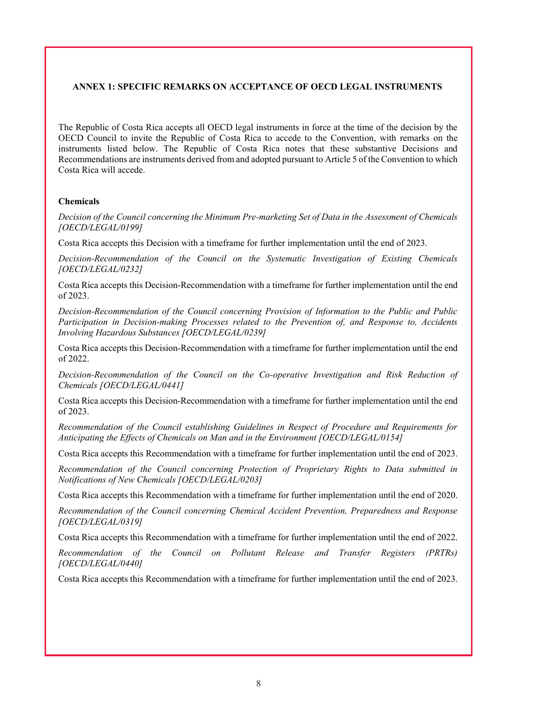## **ANNEX 1: SPECIFIC REMARKS ON ACCEPTANCE OF OECD LEGAL INSTRUMENTS**

The Republic of Costa Rica accepts all OECD legal instruments in force at the time of the decision by the OECD Council to invite the Republic of Costa Rica to accede to the Convention, with remarks on the instruments listed below. The Republic of Costa Rica notes that these substantive Decisions and Recommendations are instruments derived from and adopted pursuant to Article 5 of the Convention to which Costa Rica will accede.

## **Chemicals**

*Decision of the Council concerning the Minimum Pre-marketing Set of Data in the Assessment of Chemicals [OECD/LEGAL/0199]* 

Costa Rica accepts this Decision with a timeframe for further implementation until the end of 2023.

*Decision-Recommendation of the Council on the Systematic Investigation of Existing Chemicals [OECD/LEGAL/0232]* 

Costa Rica accepts this Decision-Recommendation with a timeframe for further implementation until the end of 2023.

*Decision-Recommendation of the Council concerning Provision of Information to the Public and Public Participation in Decision-making Processes related to the Prevention of, and Response to, Accidents Involving Hazardous Substances [OECD/LEGAL/0239]* 

Costa Rica accepts this Decision-Recommendation with a timeframe for further implementation until the end of 2022.

*Decision-Recommendation of the Council on the Co-operative Investigation and Risk Reduction of Chemicals [OECD/LEGAL/0441]* 

Costa Rica accepts this Decision-Recommendation with a timeframe for further implementation until the end of 2023.

*Recommendation of the Council establishing Guidelines in Respect of Procedure and Requirements for Anticipating the Effects of Chemicals on Man and in the Environment [OECD/LEGAL/0154]*

Costa Rica accepts this Recommendation with a timeframe for further implementation until the end of 2023.

*Recommendation of the Council concerning Protection of Proprietary Rights to Data submitted in Notifications of New Chemicals [OECD/LEGAL/0203]* 

Costa Rica accepts this Recommendation with a timeframe for further implementation until the end of 2020.

*Recommendation of the Council concerning Chemical Accident Prevention, Preparedness and Response [OECD/LEGAL/0319]* 

Costa Rica accepts this Recommendation with a timeframe for further implementation until the end of 2022.

*Recommendation of the Council on Pollutant Release and Transfer Registers (PRTRs) [OECD/LEGAL/0440]* 

Costa Rica accepts this Recommendation with a timeframe for further implementation until the end of 2023.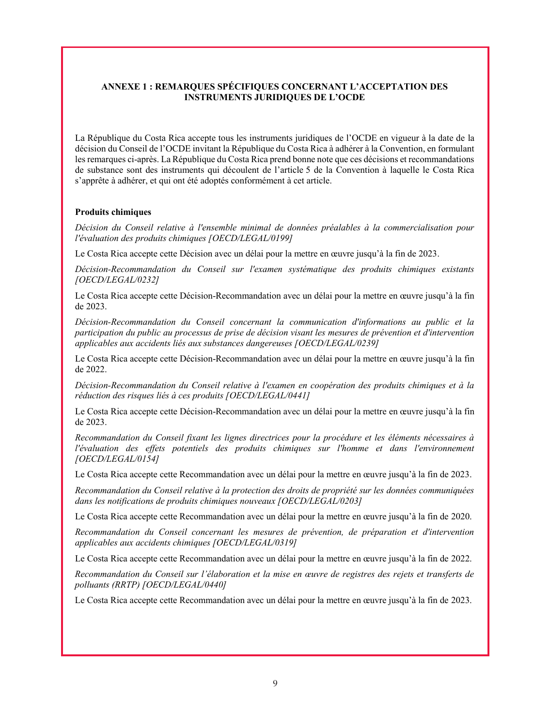# **ANNEXE 1 : REMARQUES SPÉCIFIQUES CONCERNANT L'ACCEPTATION DES INSTRUMENTS JURIDIQUES DE L'OCDE**

La République du Costa Rica accepte tous les instruments juridiques de l'OCDE en vigueur à la date de la décision du Conseil de l'OCDE invitant la République du Costa Rica à adhérer à la Convention, en formulant les remarques ci-après. La République du Costa Rica prend bonne note que ces décisions et recommandations de substance sont des instruments qui découlent de l'article 5 de la Convention à laquelle le Costa Rica s'apprête à adhérer, et qui ont été adoptés conformément à cet article.

#### **Produits chimiques**

*Décision du Conseil relative à l'ensemble minimal de données préalables à la commercialisation pour l'évaluation des produits chimiques [OECD/LEGAL/0199]* 

Le Costa Rica accepte cette Décision avec un délai pour la mettre en œuvre jusqu'à la fin de 2023.

*Décision-Recommandation du Conseil sur l'examen systématique des produits chimiques existants [OECD/LEGAL/0232]* 

Le Costa Rica accepte cette Décision-Recommandation avec un délai pour la mettre en œuvre jusqu'à la fin de 2023.

*Décision-Recommandation du Conseil concernant la communication d'informations au public et la participation du public au processus de prise de décision visant les mesures de prévention et d'intervention applicables aux accidents liés aux substances dangereuses [OECD/LEGAL/0239]* 

Le Costa Rica accepte cette Décision-Recommandation avec un délai pour la mettre en œuvre jusqu'à la fin de 2022.

*Décision-Recommandation du Conseil relative à l'examen en coopération des produits chimiques et à la réduction des risques liés à ces produits [OECD/LEGAL/0441]* 

Le Costa Rica accepte cette Décision-Recommandation avec un délai pour la mettre en œuvre jusqu'à la fin de 2023.

*Recommandation du Conseil fixant les lignes directrices pour la procédure et les éléments nécessaires à l'évaluation des effets potentiels des produits chimiques sur l'homme et dans l'environnement [OECD/LEGAL/0154]* 

Le Costa Rica accepte cette Recommandation avec un délai pour la mettre en œuvre jusqu'à la fin de 2023.

*Recommandation du Conseil relative à la protection des droits de propriété sur les données communiquées dans les notifications de produits chimiques nouveaux [OECD/LEGAL/0203]* 

Le Costa Rica accepte cette Recommandation avec un délai pour la mettre en œuvre jusqu'à la fin de 2020.

*Recommandation du Conseil concernant les mesures de prévention, de préparation et d'intervention applicables aux accidents chimiques [OECD/LEGAL/0319]* 

Le Costa Rica accepte cette Recommandation avec un délai pour la mettre en œuvre jusqu'à la fin de 2022.

*Recommandation du Conseil sur l'élaboration et la mise en œuvre de registres des rejets et transferts de polluants (RRTP) [OECD/LEGAL/0440]* 

Le Costa Rica accepte cette Recommandation avec un délai pour la mettre en œuvre jusqu'à la fin de 2023.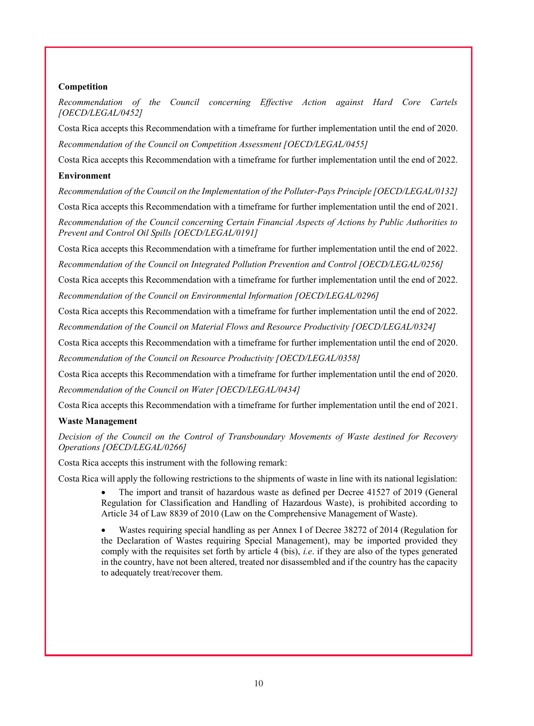# **Competition**

*Recommendation of the Council concerning Effective Action against Hard Core Cartels [OECD/LEGAL/0452]*

Costa Rica accepts this Recommendation with a timeframe for further implementation until the end of 2020. *Recommendation of the Council on Competition Assessment [OECD/LEGAL/0455]*

Costa Rica accepts this Recommendation with a timeframe for further implementation until the end of 2022.

# **Environment**

*Recommendation of the Council on the Implementation of the Polluter-Pays Principle [OECD/LEGAL/0132]*

Costa Rica accepts this Recommendation with a timeframe for further implementation until the end of 2021.

*Recommendation of the Council concerning Certain Financial Aspects of Actions by Public Authorities to Prevent and Control Oil Spills [OECD/LEGAL/0191]*

Costa Rica accepts this Recommendation with a timeframe for further implementation until the end of 2022.

*Recommendation of the Council on Integrated Pollution Prevention and Control [OECD/LEGAL/0256]*

Costa Rica accepts this Recommendation with a timeframe for further implementation until the end of 2022. *Recommendation of the Council on Environmental Information [OECD/LEGAL/0296]*

Costa Rica accepts this Recommendation with a timeframe for further implementation until the end of 2022.

*Recommendation of the Council on Material Flows and Resource Productivity [OECD/LEGAL/0324]*

Costa Rica accepts this Recommendation with a timeframe for further implementation until the end of 2020. *Recommendation of the Council on Resource Productivity [OECD/LEGAL/0358]*

Costa Rica accepts this Recommendation with a timeframe for further implementation until the end of 2020. *Recommendation of the Council on Water [OECD/LEGAL/0434]*

Costa Rica accepts this Recommendation with a timeframe for further implementation until the end of 2021.

# **Waste Management**

*Decision of the Council on the Control of Transboundary Movements of Waste destined for Recovery Operations [OECD/LEGAL/0266]*

Costa Rica accepts this instrument with the following remark:

Costa Rica will apply the following restrictions to the shipments of waste in line with its national legislation:

 The import and transit of hazardous waste as defined per Decree 41527 of 2019 (General Regulation for Classification and Handling of Hazardous Waste), is prohibited according to Article 34 of Law 8839 of 2010 (Law on the Comprehensive Management of Waste).

 Wastes requiring special handling as per Annex I of Decree 38272 of 2014 (Regulation for the Declaration of Wastes requiring Special Management), may be imported provided they comply with the requisites set forth by article 4 (bis), *i.e*. if they are also of the types generated in the country, have not been altered, treated nor disassembled and if the country has the capacity to adequately treat/recover them.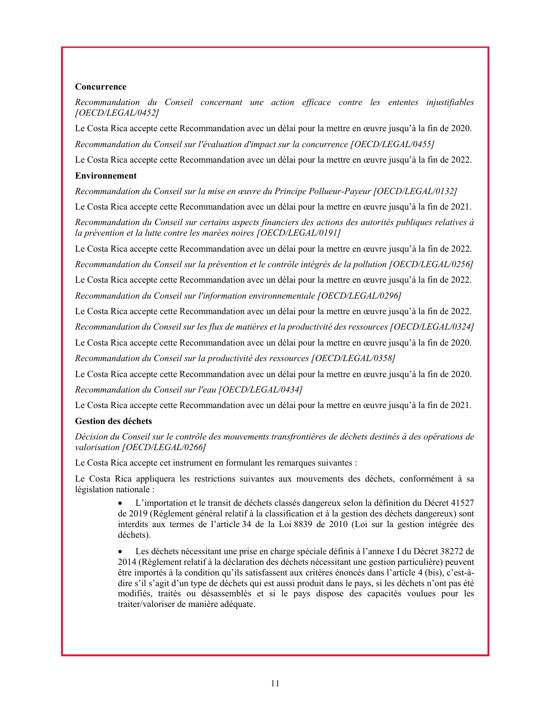### **Concurrence**

*Recommandation du Conseil concernant une action efficace contre les ententes injustifiables [OECD/LEGAL/0452]*

Le Costa Rica accepte cette Recommandation avec un délai pour la mettre en œuvre jusqu'à la fin de 2020. *Recommandation du Conseil sur l'évaluation d'impact sur la concurrence [OECD/LEGAL/0455]*

Le Costa Rica accepte cette Recommandation avec un délai pour la mettre en œuvre jusqu'à la fin de 2022.

### **Environnement**

*Recommandation du Conseil sur la mise en œuvre du Principe Pollueur-Payeur [OECD/LEGAL/0132]*

Le Costa Rica accepte cette Recommandation avec un délai pour la mettre en œuvre jusqu'à la fin de 2021.

*Recommandation du Conseil sur certains aspects financiers des actions des autorités publiques relatives à la prévention et la lutte contre les marées noires [OECD/LEGAL/0191]*

Le Costa Rica accepte cette Recommandation avec un délai pour la mettre en œuvre jusqu'à la fin de 2022.

*Recommandation du Conseil sur la prévention et le contrôle intégrés de la pollution [OECD/LEGAL/0256]*

Le Costa Rica accepte cette Recommandation avec un délai pour la mettre en œuvre jusqu'à la fin de 2022.

*Recommandation du Conseil sur l'information environnementale [OECD/LEGAL/0296]*

Le Costa Rica accepte cette Recommandation avec un délai pour la mettre en œuvre jusqu'à la fin de 2022.

*Recommandation du Conseil sur les flux de matières et la productivité des ressources [OECD/LEGAL/0324]*

Le Costa Rica accepte cette Recommandation avec un délai pour la mettre en œuvre jusqu'à la fin de 2020. *Recommandation du Conseil sur la productivité des ressources [OECD/LEGAL/0358]*

Le Costa Rica accepte cette Recommandation avec un délai pour la mettre en œuvre jusqu'à la fin de 2020. *Recommandation du Conseil sur l'eau [OECD/LEGAL/0434]*

Le Costa Rica accepte cette Recommandation avec un délai pour la mettre en œuvre jusqu'à la fin de 2021.

## **Gestion des déchets**

*Décision du Conseil sur le contrôle des mouvements transfrontières de déchets destinés à des opérations de valorisation [OECD/LEGAL/0266]*

Le Costa Rica accepte cet instrument en formulant les remarques suivantes :

Le Costa Rica appliquera les restrictions suivantes aux mouvements des déchets, conformément à sa législation nationale :

> L'importation et le transit de déchets classés dangereux selon la définition du Décret 41527 de 2019 (Règlement général relatif à la classification et à la gestion des déchets dangereux) sont interdits aux termes de l'article 34 de la Loi 8839 de 2010 (Loi sur la gestion intégrée des déchets).

> Les déchets nécessitant une prise en charge spéciale définis à l'annexe I du Décret 38272 de 2014 (Règlement relatif à la déclaration des déchets nécessitant une gestion particulière) peuvent être importés à la condition qu'ils satisfassent aux critères énoncés dans l'article 4 (bis), c'est-àdire s'il s'agit d'un type de déchets qui est aussi produit dans le pays, si les déchets n'ont pas été modifiés, traités ou désassemblés et si le pays dispose des capacités voulues pour les traiter/valoriser de manière adéquate.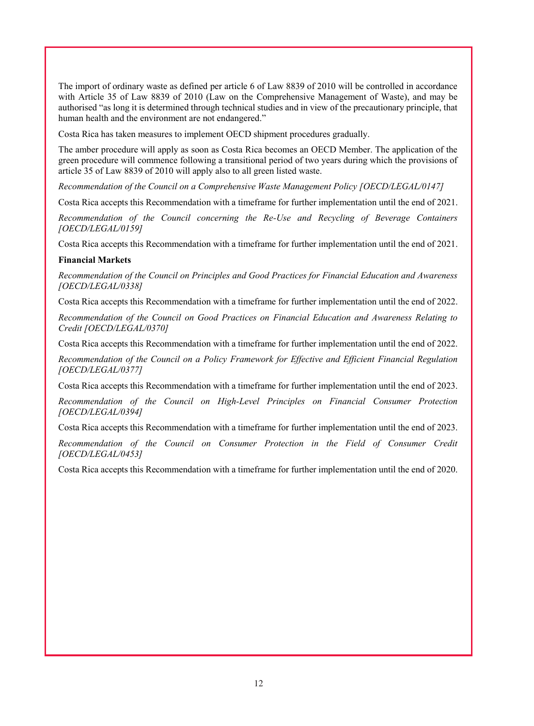The import of ordinary waste as defined per article 6 of Law 8839 of 2010 will be controlled in accordance with Article 35 of Law 8839 of 2010 (Law on the Comprehensive Management of Waste), and may be authorised "as long it is determined through technical studies and in view of the precautionary principle, that human health and the environment are not endangered."

Costa Rica has taken measures to implement OECD shipment procedures gradually.

The amber procedure will apply as soon as Costa Rica becomes an OECD Member. The application of the green procedure will commence following a transitional period of two years during which the provisions of article 35 of Law 8839 of 2010 will apply also to all green listed waste.

*Recommendation of the Council on a Comprehensive Waste Management Policy [OECD/LEGAL/0147]*

Costa Rica accepts this Recommendation with a timeframe for further implementation until the end of 2021.

*Recommendation of the Council concerning the Re-Use and Recycling of Beverage Containers [OECD/LEGAL/0159]*

Costa Rica accepts this Recommendation with a timeframe for further implementation until the end of 2021.

#### **Financial Markets**

*Recommendation of the Council on Principles and Good Practices for Financial Education and Awareness [OECD/LEGAL/0338]*

Costa Rica accepts this Recommendation with a timeframe for further implementation until the end of 2022.

*Recommendation of the Council on Good Practices on Financial Education and Awareness Relating to Credit [OECD/LEGAL/0370]*

Costa Rica accepts this Recommendation with a timeframe for further implementation until the end of 2022.

*Recommendation of the Council on a Policy Framework for Effective and Efficient Financial Regulation [OECD/LEGAL/0377]*

Costa Rica accepts this Recommendation with a timeframe for further implementation until the end of 2023.

*Recommendation of the Council on High-Level Principles on Financial Consumer Protection [OECD/LEGAL/0394]*

Costa Rica accepts this Recommendation with a timeframe for further implementation until the end of 2023.

*Recommendation of the Council on Consumer Protection in the Field of Consumer Credit [OECD/LEGAL/0453]*

Costa Rica accepts this Recommendation with a timeframe for further implementation until the end of 2020.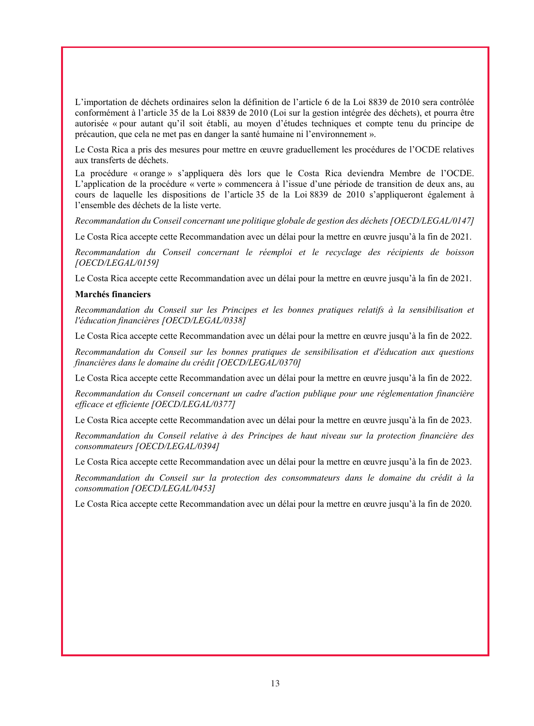L'importation de déchets ordinaires selon la définition de l'article 6 de la Loi 8839 de 2010 sera contrôlée conformément à l'article 35 de la Loi 8839 de 2010 (Loi sur la gestion intégrée des déchets), et pourra être autorisée « pour autant qu'il soit établi, au moyen d'études techniques et compte tenu du principe de précaution, que cela ne met pas en danger la santé humaine ni l'environnement ».

Le Costa Rica a pris des mesures pour mettre en œuvre graduellement les procédures de l'OCDE relatives aux transferts de déchets.

La procédure « orange » s'appliquera dès lors que le Costa Rica deviendra Membre de l'OCDE. L'application de la procédure « verte » commencera à l'issue d'une période de transition de deux ans, au cours de laquelle les dispositions de l'article 35 de la Loi 8839 de 2010 s'appliqueront également à l'ensemble des déchets de la liste verte.

*Recommandation du Conseil concernant une politique globale de gestion des déchets [OECD/LEGAL/0147]*

Le Costa Rica accepte cette Recommandation avec un délai pour la mettre en œuvre jusqu'à la fin de 2021.

*Recommandation du Conseil concernant le réemploi et le recyclage des récipients de boisson [OECD/LEGAL/0159]*

Le Costa Rica accepte cette Recommandation avec un délai pour la mettre en œuvre jusqu'à la fin de 2021.

#### **Marchés financiers**

*Recommandation du Conseil sur les Principes et les bonnes pratiques relatifs à la sensibilisation et l'éducation financières [OECD/LEGAL/0338]*

Le Costa Rica accepte cette Recommandation avec un délai pour la mettre en œuvre jusqu'à la fin de 2022.

*Recommandation du Conseil sur les bonnes pratiques de sensibilisation et d'éducation aux questions financières dans le domaine du crédit [OECD/LEGAL/0370]*

Le Costa Rica accepte cette Recommandation avec un délai pour la mettre en œuvre jusqu'à la fin de 2022.

*Recommandation du Conseil concernant un cadre d'action publique pour une réglementation financière efficace et efficiente [OECD/LEGAL/0377]*

Le Costa Rica accepte cette Recommandation avec un délai pour la mettre en œuvre jusqu'à la fin de 2023.

*Recommandation du Conseil relative à des Principes de haut niveau sur la protection financière des consommateurs [OECD/LEGAL/0394]*

Le Costa Rica accepte cette Recommandation avec un délai pour la mettre en œuvre jusqu'à la fin de 2023.

*Recommandation du Conseil sur la protection des consommateurs dans le domaine du crédit à la consommation [OECD/LEGAL/0453]*

Le Costa Rica accepte cette Recommandation avec un délai pour la mettre en œuvre jusqu'à la fin de 2020.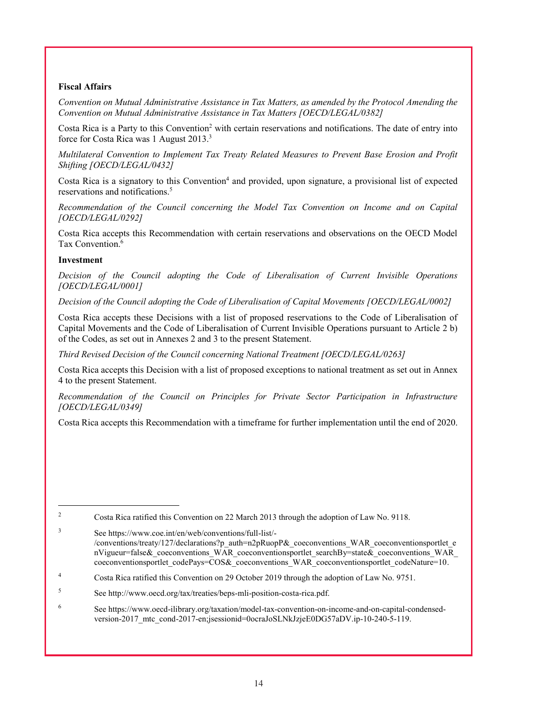# **Fiscal Affairs**

*Convention on Mutual Administrative Assistance in Tax Matters, as amended by the Protocol Amending the Convention on Mutual Administrative Assistance in Tax Matters [OECD/LEGAL/0382]*

Costa Rica is a Party to this Convention<sup>2</sup> with certain reservations and notifications. The date of entry into force for Costa Rica was 1 August 2013.3

*Multilateral Convention to Implement Tax Treaty Related Measures to Prevent Base Erosion and Profit Shifting [OECD/LEGAL/0432]*

Costa Rica is a signatory to this Convention<sup>4</sup> and provided, upon signature, a provisional list of expected reservations and notifications.5

*Recommendation of the Council concerning the Model Tax Convention on Income and on Capital [OECD/LEGAL/0292]* 

Costa Rica accepts this Recommendation with certain reservations and observations on the OECD Model Tax Convention.<sup>6</sup>

## **Investment**

|<br>|<br>|

*Decision of the Council adopting the Code of Liberalisation of Current Invisible Operations [OECD/LEGAL/0001]*

*Decision of the Council adopting the Code of Liberalisation of Capital Movements [OECD/LEGAL/0002]*

Costa Rica accepts these Decisions with a list of proposed reservations to the Code of Liberalisation of Capital Movements and the Code of Liberalisation of Current Invisible Operations pursuant to Article 2 b) of the Codes, as set out in Annexes 2 and 3 to the present Statement.

*Third Revised Decision of the Council concerning National Treatment [OECD/LEGAL/0263]*

Costa Rica accepts this Decision with a list of proposed exceptions to national treatment as set out in Annex 4 to the present Statement.

*Recommendation of the Council on Principles for Private Sector Participation in Infrastructure [OECD/LEGAL/0349]*

Costa Rica accepts this Recommendation with a timeframe for further implementation until the end of 2020.

<sup>3</sup> See https://www.coe.int/en/web/conventions/full-list/- /conventions/treaty/127/declarations?p\_auth=n2pRuopP&\_coeconventions\_WAR\_coeconventionsportlet\_e nVigueur=false& coeconventions\_WAR\_coeconventionsportlet\_searchBy=state&\_coeconventions\_WAR

coeconventionsportlet\_codePays=COS&\_coeconventions\_WAR\_coeconventionsportlet\_codeNature=10.

<sup>2</sup> Costa Rica ratified this Convention on 22 March 2013 through the adoption of Law No. 9118.

<sup>4</sup> Costa Rica ratified this Convention on 29 October 2019 through the adoption of Law No. 9751.

<sup>5</sup> See http://www.oecd.org/tax/treaties/beps-mli-position-costa-rica.pdf.

<sup>6</sup> See https://www.oecd-ilibrary.org/taxation/model-tax-convention-on-income-and-on-capital-condensedversion-2017\_mtc\_cond-2017-en;jsessionid=0ocraJoSLNkJzjeE0DG57aDV.ip-10-240-5-119.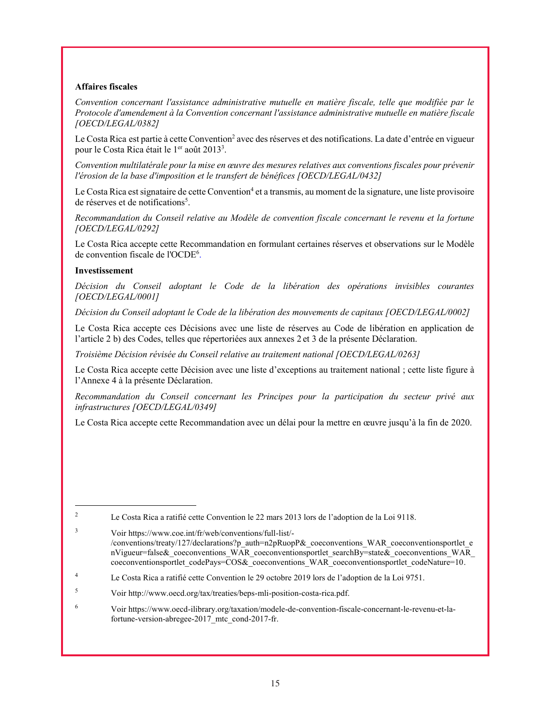## **Affaires fiscales**

*Convention concernant l'assistance administrative mutuelle en matière fiscale, telle que modifiée par le Protocole d'amendement à la Convention concernant l'assistance administrative mutuelle en matière fiscale [OECD/LEGAL/0382]*

Le Costa Rica est partie à cette Convention<sup>2</sup> avec des réserves et des notifications. La date d'entrée en vigueur pour le Costa Rica était le 1<sup>er</sup> août 2013<sup>3</sup>.

*Convention multilatérale pour la mise en œuvre des mesures relatives aux conventions fiscales pour prévenir l'érosion de la base d'imposition et le transfert de bénéfices [OECD/LEGAL/0432]*

Le Costa Rica est signataire de cette Convention<sup>4</sup> et a transmis, au moment de la signature, une liste provisoire de réserves et de notifications<sup>5</sup>.

*Recommandation du Conseil relative au Modèle de convention fiscale concernant le revenu et la fortune [OECD/LEGAL/0292]*

Le Costa Rica accepte cette Recommandation en formulant certaines réserves et observations sur le Modèle de convention fiscale de l'OCDE<sup>6</sup>.

#### **Investissement**

|<br>|<br>|

*Décision du Conseil adoptant le Code de la libération des opérations invisibles courantes [OECD/LEGAL/0001]*

*Décision du Conseil adoptant le Code de la libération des mouvements de capitaux [OECD/LEGAL/0002]*

Le Costa Rica accepte ces Décisions avec une liste de réserves au Code de libération en application de l'article 2 b) des Codes, telles que répertoriées aux annexes 2 et 3 de la présente Déclaration.

*Troisième Décision révisée du Conseil relative au traitement national [OECD/LEGAL/0263]*

Le Costa Rica accepte cette Décision avec une liste d'exceptions au traitement national ; cette liste figure à l'Annexe 4 à la présente Déclaration.

*Recommandation du Conseil concernant les Principes pour la participation du secteur privé aux infrastructures [OECD/LEGAL/0349]*

Le Costa Rica accepte cette Recommandation avec un délai pour la mettre en œuvre jusqu'à la fin de 2020.

<sup>2</sup> Le Costa Rica a ratifié cette Convention le 22 mars 2013 lors de l'adoption de la Loi 9118.

<sup>3</sup> Voir https://www.coe.int/fr/web/conventions/full-list/- /conventions/treaty/127/declarations?p\_auth=n2pRuopP&\_coeconventions\_WAR\_coeconventionsportlet\_e nVigueur=false& coeconventions\_WAR\_coeconventionsportlet\_searchBy=state&\_coeconventions\_WAR coeconventionsportlet\_codePays=COS&\_coeconventions\_WAR\_coeconventionsportlet\_codeNature=10.

<sup>4</sup> Le Costa Rica a ratifié cette Convention le 29 octobre 2019 lors de l'adoption de la Loi 9751.

<sup>5</sup> Voir http://www.oecd.org/tax/treaties/beps-mli-position-costa-rica.pdf.

<sup>6</sup> Voir https://www.oecd-ilibrary.org/taxation/modele-de-convention-fiscale-concernant-le-revenu-et-lafortune-version-abregee-2017\_mtc\_cond-2017-fr.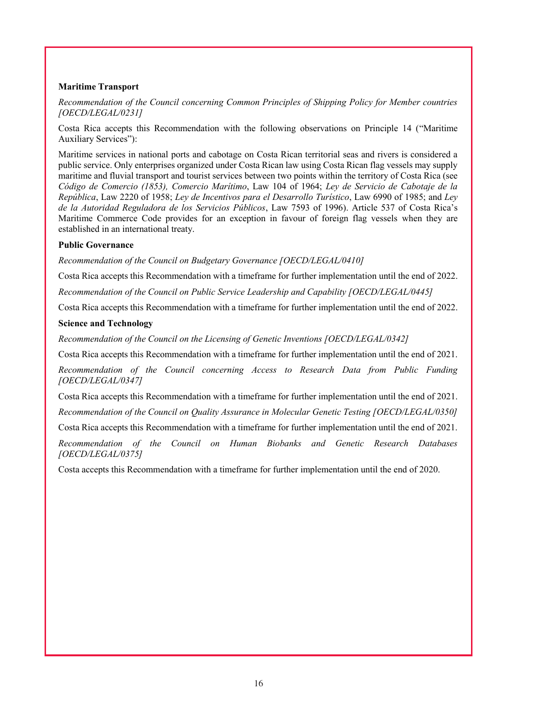## **Maritime Transport**

*Recommendation of the Council concerning Common Principles of Shipping Policy for Member countries [OECD/LEGAL/0231]*

Costa Rica accepts this Recommendation with the following observations on Principle 14 ("Maritime Auxiliary Services"):

Maritime services in national ports and cabotage on Costa Rican territorial seas and rivers is considered a public service. Only enterprises organized under Costa Rican law using Costa Rican flag vessels may supply maritime and fluvial transport and tourist services between two points within the territory of Costa Rica (see *Código de Comercio (1853), Comercio Marítimo*, Law 104 of 1964; *Ley de Servicio de Cabotaje de la República*, Law 2220 of 1958; *Ley de Incentivos para el Desarrollo Turístico*, Law 6990 of 1985; and *Ley de la Autoridad Reguladora de los Servicios Públicos*, Law 7593 of 1996). Article 537 of Costa Rica's Maritime Commerce Code provides for an exception in favour of foreign flag vessels when they are established in an international treaty.

## **Public Governance**

*Recommendation of the Council on Budgetary Governance [OECD/LEGAL/0410]*

Costa Rica accepts this Recommendation with a timeframe for further implementation until the end of 2022.

*Recommendation of the Council on Public Service Leadership and Capability [OECD/LEGAL/0445]*

Costa Rica accepts this Recommendation with a timeframe for further implementation until the end of 2022.

## **Science and Technology**

*Recommendation of the Council on the Licensing of Genetic Inventions [OECD/LEGAL/0342]*

Costa Rica accepts this Recommendation with a timeframe for further implementation until the end of 2021.

*Recommendation of the Council concerning Access to Research Data from Public Funding [OECD/LEGAL/0347]*

Costa Rica accepts this Recommendation with a timeframe for further implementation until the end of 2021. *Recommendation of the Council on Quality Assurance in Molecular Genetic Testing [OECD/LEGAL/0350]*

Costa Rica accepts this Recommendation with a timeframe for further implementation until the end of 2021.

*Recommendation of the Council on Human Biobanks and Genetic Research Databases [OECD/LEGAL/0375]*

Costa accepts this Recommendation with a timeframe for further implementation until the end of 2020.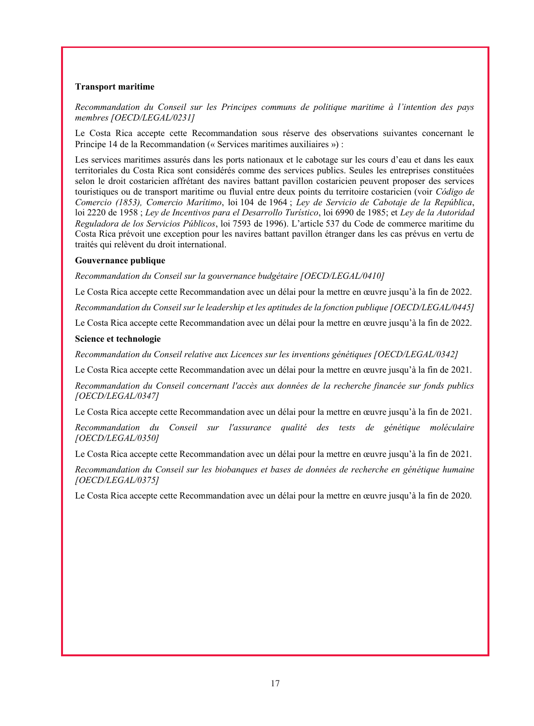### **Transport maritime**

*Recommandation du Conseil sur les Principes communs de politique maritime à l'intention des pays membres [OECD/LEGAL/0231]*

Le Costa Rica accepte cette Recommandation sous réserve des observations suivantes concernant le Principe 14 de la Recommandation (« Services maritimes auxiliaires ») :

Les services maritimes assurés dans les ports nationaux et le cabotage sur les cours d'eau et dans les eaux territoriales du Costa Rica sont considérés comme des services publics. Seules les entreprises constituées selon le droit costaricien affrétant des navires battant pavillon costaricien peuvent proposer des services touristiques ou de transport maritime ou fluvial entre deux points du territoire costaricien (voir *Código de Comercio (1853), Comercio Marítimo*, loi 104 de 1964 ; *Ley de Servicio de Cabotaje de la República*, loi 2220 de 1958 ; *Ley de Incentivos para el Desarrollo Turístico*, loi 6990 de 1985; et *Ley de la Autoridad Reguladora de los Servicios Públicos*, loi 7593 de 1996). L'article 537 du Code de commerce maritime du Costa Rica prévoit une exception pour les navires battant pavillon étranger dans les cas prévus en vertu de traités qui relèvent du droit international.

#### **Gouvernance publique**

*Recommandation du Conseil sur la gouvernance budgétaire [OECD/LEGAL/0410]*

Le Costa Rica accepte cette Recommandation avec un délai pour la mettre en œuvre jusqu'à la fin de 2022.

*Recommandation du Conseil sur le leadership et les aptitudes de la fonction publique [OECD/LEGAL/0445]*

Le Costa Rica accepte cette Recommandation avec un délai pour la mettre en œuvre jusqu'à la fin de 2022.

#### **Science et technologie**

*Recommandation du Conseil relative aux Licences sur les inventions génétiques [OECD/LEGAL/0342]*

Le Costa Rica accepte cette Recommandation avec un délai pour la mettre en œuvre jusqu'à la fin de 2021.

*Recommandation du Conseil concernant l'accès aux données de la recherche financée sur fonds publics [OECD/LEGAL/0347]*

Le Costa Rica accepte cette Recommandation avec un délai pour la mettre en œuvre jusqu'à la fin de 2021.

*Recommandation du Conseil sur l'assurance qualité des tests de génétique moléculaire [OECD/LEGAL/0350]*

Le Costa Rica accepte cette Recommandation avec un délai pour la mettre en œuvre jusqu'à la fin de 2021.

*Recommandation du Conseil sur les biobanques et bases de données de recherche en génétique humaine [OECD/LEGAL/0375]*

Le Costa Rica accepte cette Recommandation avec un délai pour la mettre en œuvre jusqu'à la fin de 2020.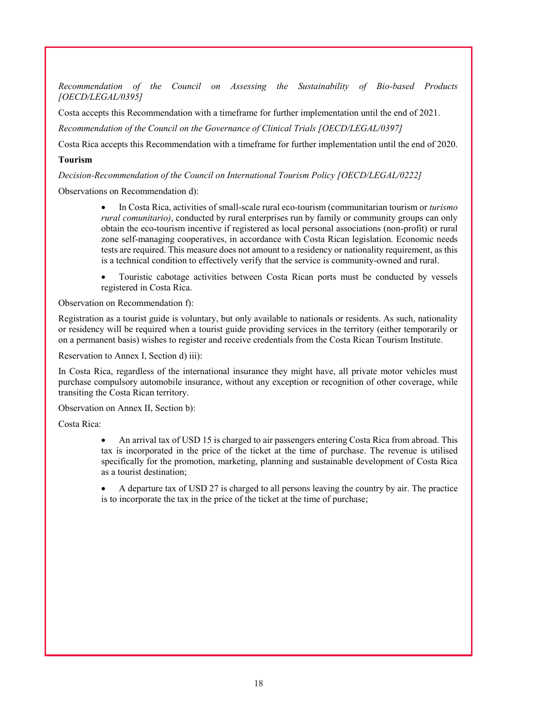*Recommendation of the Council on Assessing the Sustainability of Bio-based Products [OECD/LEGAL/0395]*

Costa accepts this Recommendation with a timeframe for further implementation until the end of 2021.

*Recommendation of the Council on the Governance of Clinical Trials [OECD/LEGAL/0397]*

Costa Rica accepts this Recommendation with a timeframe for further implementation until the end of 2020.

# **Tourism**

*Decision-Recommendation of the Council on International Tourism Policy [OECD/LEGAL/0222]*

Observations on Recommendation d):

 In Costa Rica, activities of small-scale rural eco-tourism (communitarian tourism or *turismo rural comunitario)*, conducted by rural enterprises run by family or community groups can only obtain the eco-tourism incentive if registered as local personal associations (non-profit) or rural zone self-managing cooperatives, in accordance with Costa Rican legislation. Economic needs tests are required. This measure does not amount to a residency or nationality requirement, as this is a technical condition to effectively verify that the service is community-owned and rural.

 Touristic cabotage activities between Costa Rican ports must be conducted by vessels registered in Costa Rica.

Observation on Recommendation f):

Registration as a tourist guide is voluntary, but only available to nationals or residents. As such, nationality or residency will be required when a tourist guide providing services in the territory (either temporarily or on a permanent basis) wishes to register and receive credentials from the Costa Rican Tourism Institute.

Reservation to Annex I, Section d) iii):

In Costa Rica, regardless of the international insurance they might have, all private motor vehicles must purchase compulsory automobile insurance, without any exception or recognition of other coverage, while transiting the Costa Rican territory.

Observation on Annex II, Section b):

Costa Rica:

 An arrival tax of USD 15 is charged to air passengers entering Costa Rica from abroad. This tax is incorporated in the price of the ticket at the time of purchase. The revenue is utilised specifically for the promotion, marketing, planning and sustainable development of Costa Rica as a tourist destination;

 A departure tax of USD 27 is charged to all persons leaving the country by air. The practice is to incorporate the tax in the price of the ticket at the time of purchase;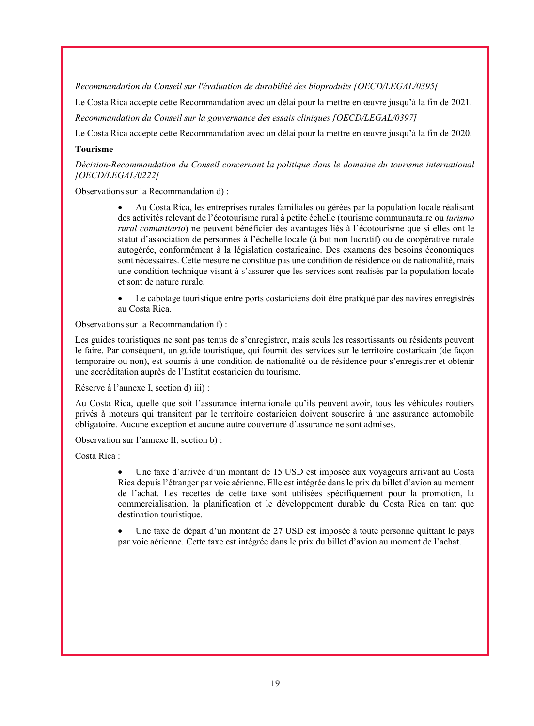*Recommandation du Conseil sur l'évaluation de durabilité des bioproduits [OECD/LEGAL/0395]*

Le Costa Rica accepte cette Recommandation avec un délai pour la mettre en œuvre jusqu'à la fin de 2021.

*Recommandation du Conseil sur la gouvernance des essais cliniques [OECD/LEGAL/0397]*

Le Costa Rica accepte cette Recommandation avec un délai pour la mettre en œuvre jusqu'à la fin de 2020.

## **Tourisme**

*Décision-Recommandation du Conseil concernant la politique dans le domaine du tourisme international [OECD/LEGAL/0222]*

Observations sur la Recommandation d) :

 Au Costa Rica, les entreprises rurales familiales ou gérées par la population locale réalisant des activités relevant de l'écotourisme rural à petite échelle (tourisme communautaire ou *turismo rural comunitario*) ne peuvent bénéficier des avantages liés à l'écotourisme que si elles ont le statut d'association de personnes à l'échelle locale (à but non lucratif) ou de coopérative rurale autogérée, conformément à la législation costaricaine. Des examens des besoins économiques sont nécessaires. Cette mesure ne constitue pas une condition de résidence ou de nationalité, mais une condition technique visant à s'assurer que les services sont réalisés par la population locale et sont de nature rurale.

 Le cabotage touristique entre ports costariciens doit être pratiqué par des navires enregistrés au Costa Rica.

Observations sur la Recommandation f) :

Les guides touristiques ne sont pas tenus de s'enregistrer, mais seuls les ressortissants ou résidents peuvent le faire. Par conséquent, un guide touristique, qui fournit des services sur le territoire costaricain (de façon temporaire ou non), est soumis à une condition de nationalité ou de résidence pour s'enregistrer et obtenir une accréditation auprès de l'Institut costaricien du tourisme.

Réserve à l'annexe I, section d) iii) :

Au Costa Rica, quelle que soit l'assurance internationale qu'ils peuvent avoir, tous les véhicules routiers privés à moteurs qui transitent par le territoire costaricien doivent souscrire à une assurance automobile obligatoire. Aucune exception et aucune autre couverture d'assurance ne sont admises.

Observation sur l'annexe II, section b) :

Costa Rica :

 Une taxe d'arrivée d'un montant de 15 USD est imposée aux voyageurs arrivant au Costa Rica depuis l'étranger par voie aérienne. Elle est intégrée dans le prix du billet d'avion au moment de l'achat. Les recettes de cette taxe sont utilisées spécifiquement pour la promotion, la commercialisation, la planification et le développement durable du Costa Rica en tant que destination touristique.

 Une taxe de départ d'un montant de 27 USD est imposée à toute personne quittant le pays par voie aérienne. Cette taxe est intégrée dans le prix du billet d'avion au moment de l'achat.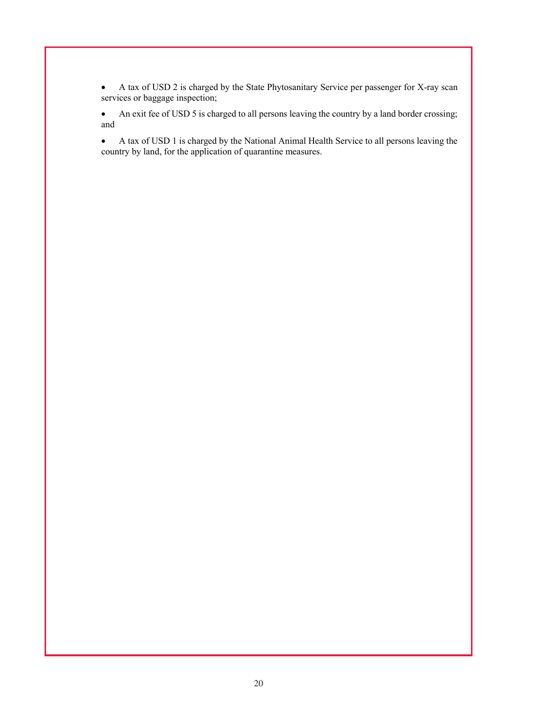A tax of USD 2 is charged by the State Phytosanitary Service per passenger for X-ray scan services or baggage inspection;

 An exit fee of USD 5 is charged to all persons leaving the country by a land border crossing; and

 A tax of USD 1 is charged by the National Animal Health Service to all persons leaving the country by land, for the application of quarantine measures.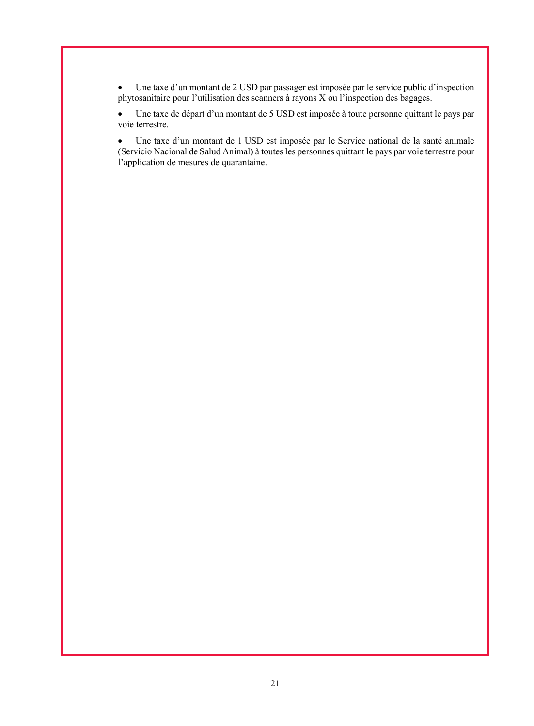Une taxe d'un montant de 2 USD par passager est imposée par le service public d'inspection phytosanitaire pour l'utilisation des scanners à rayons X ou l'inspection des bagages.

 Une taxe de départ d'un montant de 5 USD est imposée à toute personne quittant le pays par voie terrestre.

 Une taxe d'un montant de 1 USD est imposée par le Service national de la santé animale (Servicio Nacional de Salud Animal) à toutes les personnes quittant le pays par voie terrestre pour l'application de mesures de quarantaine.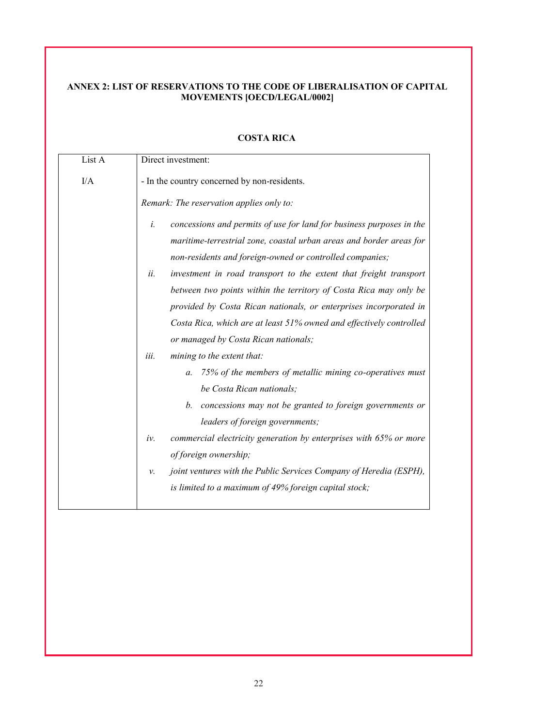# **ANNEX 2: LIST OF RESERVATIONS TO THE CODE OF LIBERALISATION OF CAPITAL MOVEMENTS [OECD/LEGAL/0002]**

| List A | Direct investment:                                                                                                                                                                                                                                                                                                                                                                                                                                                                                         |
|--------|------------------------------------------------------------------------------------------------------------------------------------------------------------------------------------------------------------------------------------------------------------------------------------------------------------------------------------------------------------------------------------------------------------------------------------------------------------------------------------------------------------|
| I/A    | - In the country concerned by non-residents.                                                                                                                                                                                                                                                                                                                                                                                                                                                               |
|        | Remark: The reservation applies only to:                                                                                                                                                                                                                                                                                                                                                                                                                                                                   |
|        | concessions and permits of use for land for business purposes in the<br>i.<br>maritime-terrestrial zone, coastal urban areas and border areas for<br>non-residents and foreign-owned or controlled companies;<br>investment in road transport to the extent that freight transport<br>ii.<br>between two points within the territory of Costa Rica may only be<br>provided by Costa Rican nationals, or enterprises incorporated in<br>Costa Rica, which are at least 51% owned and effectively controlled |
|        | or managed by Costa Rican nationals;<br>iii.<br>mining to the extent that:<br>75% of the members of metallic mining co-operatives must<br>$\mathfrak{a}$ .<br>be Costa Rican nationals;<br>concessions may not be granted to foreign governments or<br>b.<br>leaders of foreign governments;                                                                                                                                                                                                               |
|        | commercial electricity generation by enterprises with 65% or more<br>iv.<br>of foreign ownership;<br>joint ventures with the Public Services Company of Heredia (ESPH),<br>ν.                                                                                                                                                                                                                                                                                                                              |
|        | is limited to a maximum of 49% foreign capital stock;                                                                                                                                                                                                                                                                                                                                                                                                                                                      |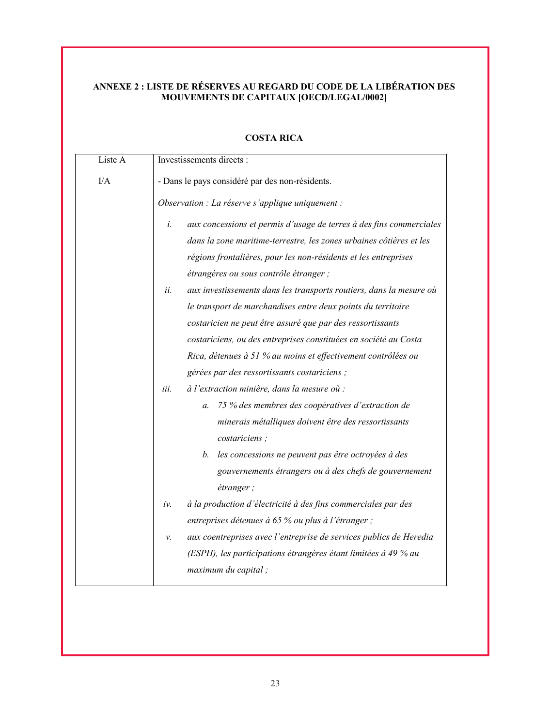# **ANNEXE 2 : LISTE DE RÉSERVES AU REGARD DU CODE DE LA LIBÉRATION DES MOUVEMENTS DE CAPITAUX [OECD/LEGAL/0002]**

| Liste A | Investissements directs :                                                                                                                                                                                                                                                                                                                                                                                                                                                                                                                     |
|---------|-----------------------------------------------------------------------------------------------------------------------------------------------------------------------------------------------------------------------------------------------------------------------------------------------------------------------------------------------------------------------------------------------------------------------------------------------------------------------------------------------------------------------------------------------|
| I/A     | - Dans le pays considéré par des non-résidents.                                                                                                                                                                                                                                                                                                                                                                                                                                                                                               |
|         | Observation : La réserve s'applique uniquement :                                                                                                                                                                                                                                                                                                                                                                                                                                                                                              |
|         | aux concessions et permis d'usage de terres à des fins commerciales<br>i.<br>dans la zone maritime-terrestre, les zones urbaines côtières et les<br>régions frontalières, pour les non-résidents et les entreprises<br>étrangères ou sous contrôle étranger ;<br>aux investissements dans les transports routiers, dans la mesure où<br>ii.<br>le transport de marchandises entre deux points du territoire<br>costaricien ne peut être assuré que par des ressortissants<br>costariciens, ou des entreprises constituées en société au Costa |
|         | Rica, détenues à 51 % au moins et effectivement contrôlées ou<br>gérées par des ressortissants costariciens ;                                                                                                                                                                                                                                                                                                                                                                                                                                 |
|         | à l'extraction minière, dans la mesure où :<br>iii.<br>75 % des membres des coopératives d'extraction de<br>a.<br>minerais métalliques doivent être des ressortissants<br>costariciens;<br>les concessions ne peuvent pas être octroyées à des<br>b.                                                                                                                                                                                                                                                                                          |
|         | gouvernements étrangers ou à des chefs de gouvernement<br>étranger;                                                                                                                                                                                                                                                                                                                                                                                                                                                                           |
|         | à la production d'électricité à des fins commerciales par des<br>iv.<br>entreprises détenues à 65 % ou plus à l'étranger ;                                                                                                                                                                                                                                                                                                                                                                                                                    |
|         | aux coentreprises avec l'entreprise de services publics de Heredia<br>ν.<br>(ESPH), les participations étrangères étant limitées à 49 % au<br>maximum du capital;                                                                                                                                                                                                                                                                                                                                                                             |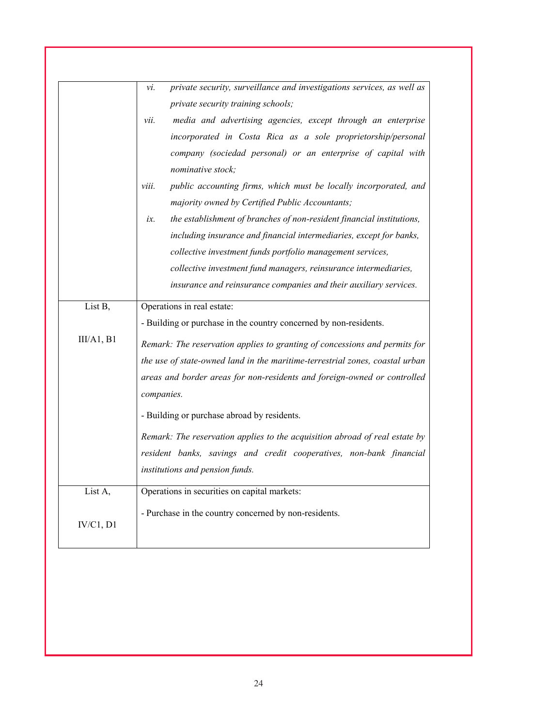|            | private security, surveillance and investigations services, as well as<br>vi. |
|------------|-------------------------------------------------------------------------------|
|            | private security training schools;                                            |
|            | media and advertising agencies, except through an enterprise<br>vii.          |
|            | incorporated in Costa Rica as a sole proprietorship/personal                  |
|            | company (sociedad personal) or an enterprise of capital with                  |
|            | nominative stock;                                                             |
|            | public accounting firms, which must be locally incorporated, and<br>viii.     |
|            | majority owned by Certified Public Accountants;                               |
|            | the establishment of branches of non-resident financial institutions,<br>ix.  |
|            | including insurance and financial intermediaries, except for banks,           |
|            | collective investment funds portfolio management services,                    |
|            | collective investment fund managers, reinsurance intermediaries,              |
|            | insurance and reinsurance companies and their auxiliary services.             |
| List B,    | Operations in real estate:                                                    |
|            | - Building or purchase in the country concerned by non-residents.             |
| III/A1, B1 | Remark: The reservation applies to granting of concessions and permits for    |
|            | the use of state-owned land in the maritime-terrestrial zones, coastal urban  |
|            | areas and border areas for non-residents and foreign-owned or controlled      |
|            | companies.                                                                    |
|            |                                                                               |
|            | - Building or purchase abroad by residents.                                   |
|            | Remark: The reservation applies to the acquisition abroad of real estate by   |
|            | resident banks, savings and credit cooperatives, non-bank financial           |
|            | institutions and pension funds.                                               |
| List A,    | Operations in securities on capital markets:                                  |
|            | - Purchase in the country concerned by non-residents.                         |
| IV/C1, D1  |                                                                               |
|            |                                                                               |
|            |                                                                               |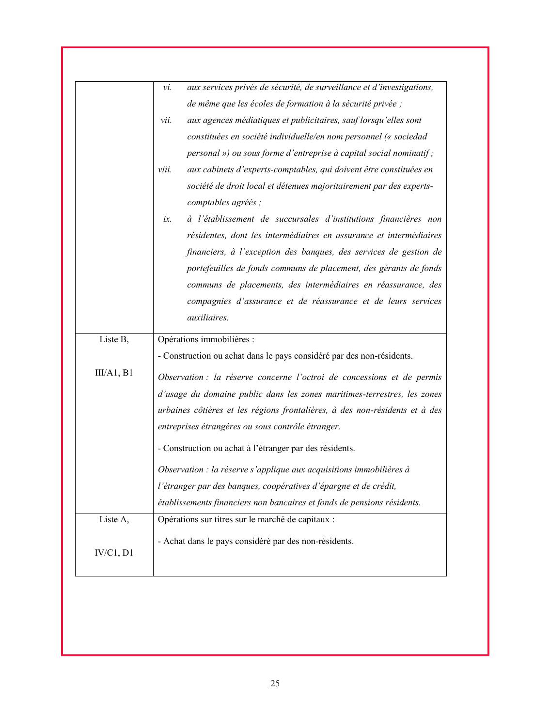|           | aux services privés de sécurité, de surveillance et d'investigations,<br>vi. |
|-----------|------------------------------------------------------------------------------|
|           | de même que les écoles de formation à la sécurité privée ;                   |
|           | aux agences médiatiques et publicitaires, sauf lorsqu'elles sont<br>vii.     |
|           | constituées en société individuelle/en nom personnel (« sociedad             |
|           | personal ») ou sous forme d'entreprise à capital social nominatif ;          |
|           | aux cabinets d'experts-comptables, qui doivent être constituées en<br>viii.  |
|           | société de droit local et détenues majoritairement par des experts-          |
|           | comptables agréés;                                                           |
|           | à l'établissement de succursales d'institutions financières non<br>ix.       |
|           | résidentes, dont les intermédiaires en assurance et intermédiaires           |
|           | financiers, à l'exception des banques, des services de gestion de            |
|           | portefeuilles de fonds communs de placement, des gérants de fonds            |
|           | communs de placements, des intermédiaires en réassurance, des                |
|           | compagnies d'assurance et de réassurance et de leurs services                |
|           | auxiliaires.                                                                 |
| Liste B,  | Opérations immobilières :                                                    |
|           | - Construction ou achat dans le pays considéré par des non-résidents.        |
| II/A1, B1 | Observation : la réserve concerne l'octroi de concessions et de permis       |
|           | d'usage du domaine public dans les zones maritimes-terrestres, les zones     |
|           | urbaines côtières et les régions frontalières, à des non-résidents et à des  |
|           | entreprises étrangères ou sous contrôle étranger.                            |
|           | - Construction ou achat à l'étranger par des résidents.                      |
|           | Observation : la réserve s'applique aux acquisitions immobilières à          |
|           | l'étranger par des banques, coopératives d'épargne et de crédit,             |
|           | établissements financiers non bancaires et fonds de pensions résidents.      |
| Liste A,  | Opérations sur titres sur le marché de capitaux :                            |
|           | - Achat dans le pays considéré par des non-résidents.                        |
| IV/C1, D1 |                                                                              |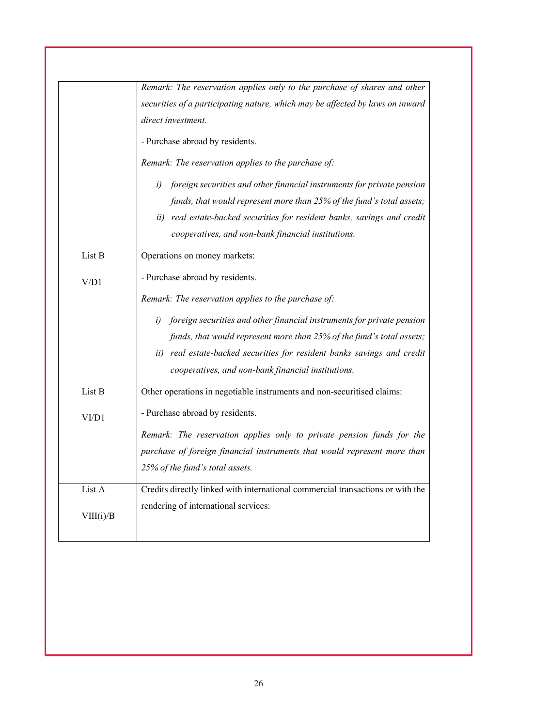|           | Remark: The reservation applies only to the purchase of shares and other       |
|-----------|--------------------------------------------------------------------------------|
|           | securities of a participating nature, which may be affected by laws on inward  |
|           | direct investment.                                                             |
|           | - Purchase abroad by residents.                                                |
|           | Remark: The reservation applies to the purchase of:                            |
|           | foreign securities and other financial instruments for private pension<br>i)   |
|           | funds, that would represent more than 25% of the fund's total assets;          |
|           | real estate-backed securities for resident banks, savings and credit<br>ii)    |
|           | cooperatives, and non-bank financial institutions.                             |
| List B    | Operations on money markets:                                                   |
| V/D1      | - Purchase abroad by residents.                                                |
|           | Remark: The reservation applies to the purchase of:                            |
|           | foreign securities and other financial instruments for private pension<br>i)   |
|           | funds, that would represent more than 25% of the fund's total assets;          |
|           | ii) real estate-backed securities for resident banks savings and credit        |
|           | cooperatives, and non-bank financial institutions.                             |
| List B    | Other operations in negotiable instruments and non-securitised claims:         |
| VI/D1     | - Purchase abroad by residents.                                                |
|           | Remark: The reservation applies only to private pension funds for the          |
|           | purchase of foreign financial instruments that would represent more than       |
|           | 25% of the fund's total assets.                                                |
| List A    | Credits directly linked with international commercial transactions or with the |
|           | rendering of international services:                                           |
| VIII(i)/B |                                                                                |
|           |                                                                                |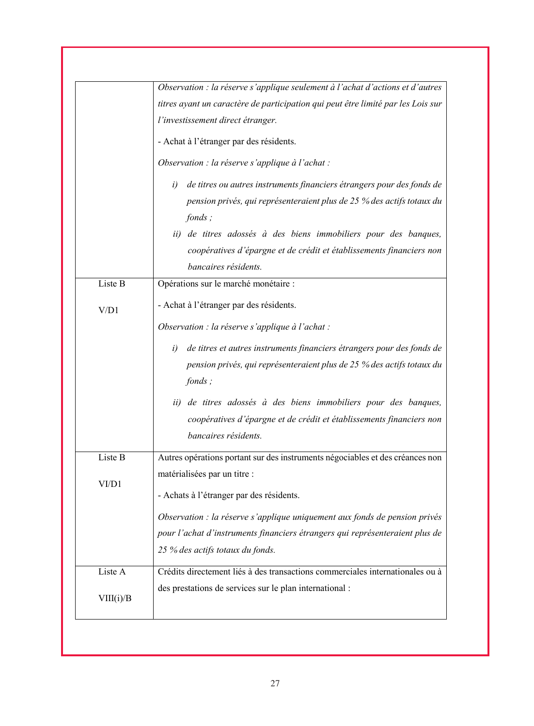|           | Observation : la réserve s'applique seulement à l'achat d'actions et d'autres    |
|-----------|----------------------------------------------------------------------------------|
|           | titres ayant un caractère de participation qui peut être limité par les Lois sur |
|           | l'investissement direct étranger.                                                |
|           | - Achat à l'étranger par des résidents.                                          |
|           | Observation : la réserve s'applique à l'achat :                                  |
|           | de titres ou autres instruments financiers étrangers pour des fonds de<br>i)     |
|           | pension privés, qui représenteraient plus de 25 % des actifs totaux du           |
|           | fonds;                                                                           |
|           | ii) de titres adossés à des biens immobiliers pour des banques,                  |
|           | coopératives d'épargne et de crédit et établissements financiers non             |
|           | bancaires résidents.                                                             |
| Liste B   | Opérations sur le marché monétaire :                                             |
| V/D1      | - Achat à l'étranger par des résidents.                                          |
|           | Observation : la réserve s'applique à l'achat :                                  |
|           | de titres et autres instruments financiers étrangers pour des fonds de<br>i)     |
|           | pension privés, qui représenteraient plus de 25 % des actifs totaux du           |
|           | fonds;                                                                           |
|           | de titres adossés à des biens immobiliers pour des banques,<br>ii)               |
|           | coopératives d'épargne et de crédit et établissements financiers non             |
|           | bancaires résidents.                                                             |
| Liste B   | Autres opérations portant sur des instruments négociables et des créances non    |
|           | matérialisées par un titre :                                                     |
| VI/D1     | - Achats à l'étranger par des résidents.                                         |
|           | Observation : la réserve s'applique uniquement aux fonds de pension privés       |
|           | pour l'achat d'instruments financiers étrangers qui représenteraient plus de     |
|           | 25 % des actifs totaux du fonds.                                                 |
| Liste A   | Crédits directement liés à des transactions commerciales internationales ou à    |
| VIII(i)/B | des prestations de services sur le plan international :                          |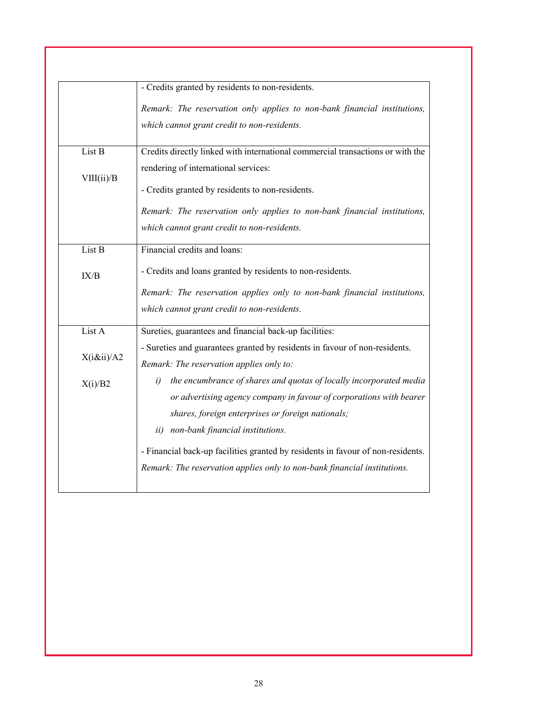|             | - Credits granted by residents to non-residents.                                |
|-------------|---------------------------------------------------------------------------------|
|             | Remark: The reservation only applies to non-bank financial institutions,        |
|             | which cannot grant credit to non-residents.                                     |
| List B      | Credits directly linked with international commercial transactions or with the  |
| VIII(ii)/B  | rendering of international services:                                            |
|             | - Credits granted by residents to non-residents.                                |
|             | Remark: The reservation only applies to non-bank financial institutions,        |
|             | which cannot grant credit to non-residents.                                     |
| List B      | Financial credits and loans:                                                    |
| IX/B        | - Credits and loans granted by residents to non-residents.                      |
|             | Remark: The reservation applies only to non-bank financial institutions,        |
|             | which cannot grant credit to non-residents.                                     |
| List A      | Sureties, guarantees and financial back-up facilities:                          |
|             | - Sureties and guarantees granted by residents in favour of non-residents.      |
| $X(i\ⅈ)/A2$ | Remark: The reservation applies only to:                                        |
| X(i)/B2     | the encumbrance of shares and quotas of locally incorporated media<br>i)        |
|             | or advertising agency company in favour of corporations with bearer             |
|             | shares, foreign enterprises or foreign nationals;                               |
|             | ii) non-bank financial institutions.                                            |
|             | - Financial back-up facilities granted by residents in favour of non-residents. |
|             | Remark: The reservation applies only to non-bank financial institutions.        |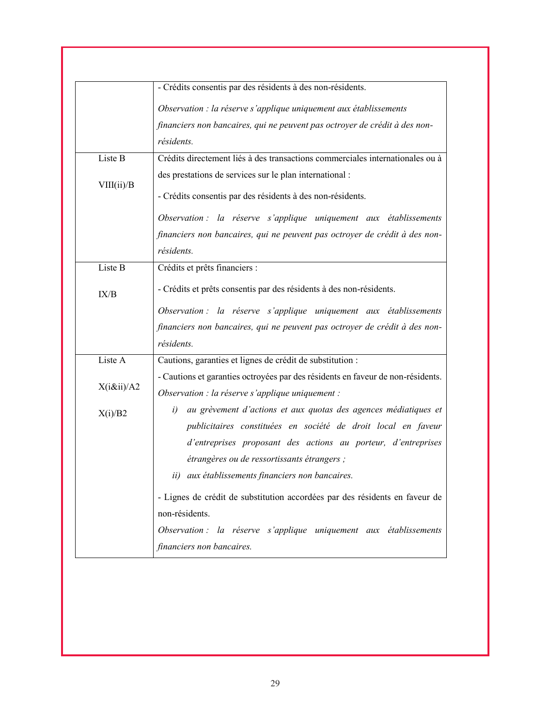|            | - Crédits consentis par des résidents à des non-résidents.                                                                             |
|------------|----------------------------------------------------------------------------------------------------------------------------------------|
|            | Observation : la réserve s'applique uniquement aux établissements                                                                      |
|            | financiers non bancaires, qui ne peuvent pas octroyer de crédit à des non-                                                             |
|            | résidents.                                                                                                                             |
| Liste B    | Crédits directement liés à des transactions commerciales internationales ou à                                                          |
|            | des prestations de services sur le plan international :                                                                                |
| VIII(ii)/B | - Crédits consentis par des résidents à des non-résidents.                                                                             |
|            | Observation : la réserve s'applique uniquement aux établissements                                                                      |
|            | financiers non bancaires, qui ne peuvent pas octroyer de crédit à des non-                                                             |
|            | résidents.                                                                                                                             |
| Liste B    | Crédits et prêts financiers :                                                                                                          |
| IX/B       | - Crédits et prêts consentis par des résidents à des non-résidents.                                                                    |
|            | Observation : la réserve s'applique uniquement aux établissements                                                                      |
|            | financiers non bancaires, qui ne peuvent pas octroyer de crédit à des non-                                                             |
|            | résidents.                                                                                                                             |
| Liste A    | Cautions, garanties et lignes de crédit de substitution :                                                                              |
| X(iⅈ)/A2   | - Cautions et garanties octroyées par des résidents en faveur de non-résidents.                                                        |
|            | Observation : la réserve s'applique uniquement :                                                                                       |
| X(i)/B2    | au grèvement d'actions et aux quotas des agences médiatiques et<br>i)<br>publicitaires constituées en société de droit local en faveur |
|            | d'entreprises proposant des actions au porteur, d'entreprises                                                                          |
|            | étrangères ou de ressortissants étrangers ;                                                                                            |
|            | ii) aux établissements financiers non bancaires.                                                                                       |
|            | - Lignes de crédit de substitution accordées par des résidents en faveur de                                                            |
|            | non-résidents.                                                                                                                         |
|            | Observation : la réserve s'applique uniquement aux établissements                                                                      |
|            | financiers non bancaires.                                                                                                              |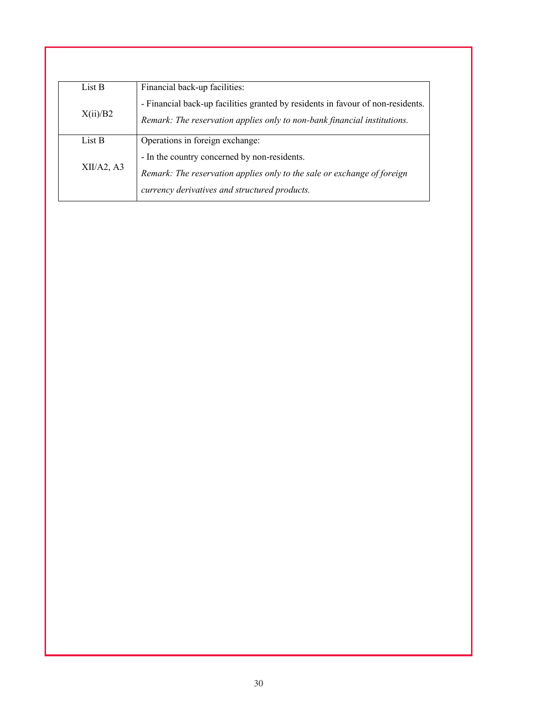| Financial back-up facilities:                                                   |
|---------------------------------------------------------------------------------|
| - Financial back-up facilities granted by residents in favour of non-residents. |
| Remark: The reservation applies only to non-bank financial institutions.        |
| Operations in foreign exchange:                                                 |
| - In the country concerned by non-residents.                                    |
| Remark: The reservation applies only to the sale or exchange of foreign         |
| currency derivatives and structured products.                                   |
|                                                                                 |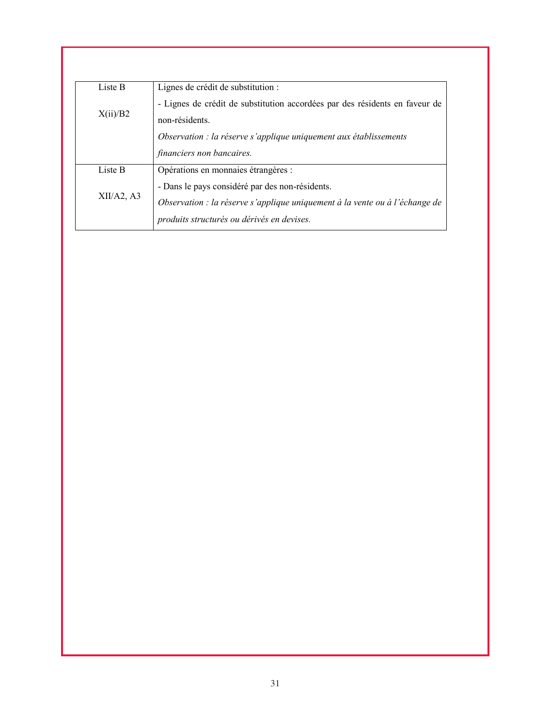| Liste B    | Lignes de crédit de substitution :                                          |
|------------|-----------------------------------------------------------------------------|
|            | - Lignes de crédit de substitution accordées par des résidents en faveur de |
| X(ii)/B2   | non-résidents.                                                              |
|            | Observation : la réserve s'applique uniquement aux établissements           |
|            | financiers non bancaires.                                                   |
| Liste B    | Opérations en monnaies étrangères :                                         |
|            | - Dans le pays considéré par des non-résidents.                             |
| XII/A2, A3 | Observation : la réserve s'applique uniquement à la vente ou à l'échange de |
|            | produits structurés ou dérivés en devises.                                  |
|            |                                                                             |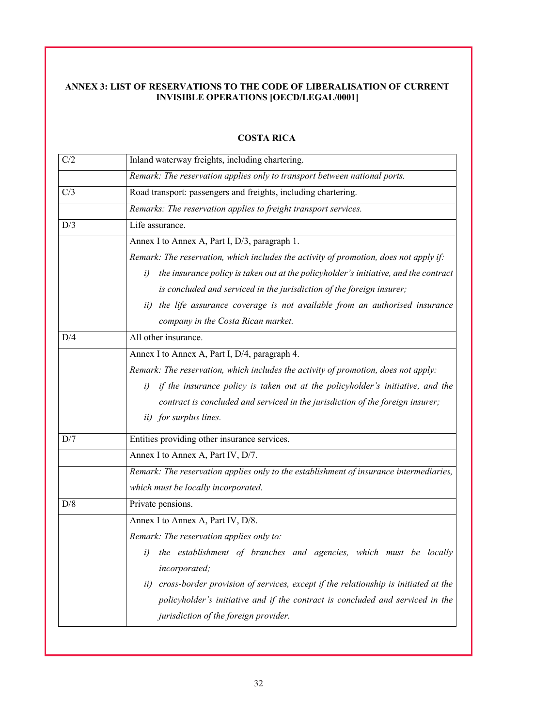# **ANNEX 3: LIST OF RESERVATIONS TO THE CODE OF LIBERALISATION OF CURRENT INVISIBLE OPERATIONS [OECD/LEGAL/0001]**

| C/2 | Inland waterway freights, including chartering.                                            |
|-----|--------------------------------------------------------------------------------------------|
|     | Remark: The reservation applies only to transport between national ports.                  |
| C/3 | Road transport: passengers and freights, including chartering.                             |
|     | Remarks: The reservation applies to freight transport services.                            |
| D/3 | Life assurance.                                                                            |
|     | Annex I to Annex A, Part I, D/3, paragraph 1.                                              |
|     | Remark: The reservation, which includes the activity of promotion, does not apply if:      |
|     | the insurance policy is taken out at the policyholder's initiative, and the contract<br>i) |
|     | is concluded and serviced in the jurisdiction of the foreign insurer;                      |
|     | the life assurance coverage is not available from an authorised insurance<br>ii)           |
|     | company in the Costa Rican market.                                                         |
| D/4 | All other insurance.                                                                       |
|     | Annex I to Annex A, Part I, D/4, paragraph 4.                                              |
|     | Remark: The reservation, which includes the activity of promotion, does not apply:         |
|     | if the insurance policy is taken out at the policyholder's initiative, and the<br>i)       |
|     | contract is concluded and serviced in the jurisdiction of the foreign insurer;             |
|     | ii) for surplus lines.                                                                     |
| D/7 | Entities providing other insurance services.                                               |
|     | Annex I to Annex A, Part IV, D/7.                                                          |
|     | Remark: The reservation applies only to the establishment of insurance intermediaries,     |
|     | which must be locally incorporated.                                                        |
| D/8 | Private pensions.                                                                          |
|     | Annex I to Annex A, Part IV, D/8.                                                          |
|     | Remark: The reservation applies only to:                                                   |
|     | the establishment of branches and agencies, which must be locally<br>$\iota$               |
|     | incorporated;                                                                              |
|     | cross-border provision of services, except if the relationship is initiated at the<br>ii)  |
|     | policyholder's initiative and if the contract is concluded and serviced in the             |
|     | jurisdiction of the foreign provider.                                                      |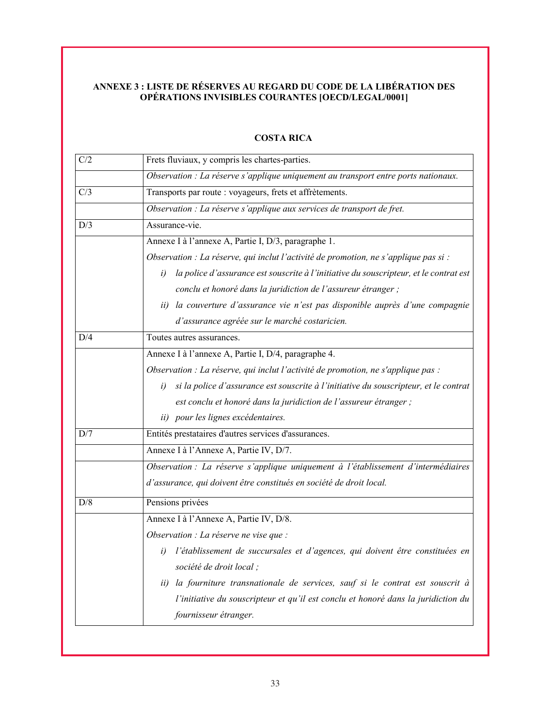# **ANNEXE 3 : LISTE DE RÉSERVES AU REGARD DU CODE DE LA LIBÉRATION DES OPÉRATIONS INVISIBLES COURANTES [OECD/LEGAL/0001]**

| C/2 | Frets fluviaux, y compris les chartes-parties.                                              |
|-----|---------------------------------------------------------------------------------------------|
|     | Observation : La réserve s'applique uniquement au transport entre ports nationaux.          |
| C/3 | Transports par route : voyageurs, frets et affrètements.                                    |
|     | Observation : La réserve s'applique aux services de transport de fret.                      |
| D/3 | Assurance-vie.                                                                              |
|     | Annexe I à l'annexe A, Partie I, D/3, paragraphe 1.                                         |
|     | Observation : La réserve, qui inclut l'activité de promotion, ne s'applique pas si :        |
|     | la police d'assurance est souscrite à l'initiative du souscripteur, et le contrat est<br>i) |
|     | conclu et honoré dans la juridiction de l'assureur étranger ;                               |
|     | la couverture d'assurance vie n'est pas disponible auprès d'une compagnie<br>ii)            |
|     | d'assurance agréée sur le marché costaricien.                                               |
| D/4 | Toutes autres assurances.                                                                   |
|     | Annexe I à l'annexe A, Partie I, D/4, paragraphe 4.                                         |
|     | Observation : La réserve, qui inclut l'activité de promotion, ne s'applique pas :           |
|     | si la police d'assurance est souscrite à l'initiative du souscripteur, et le contrat<br>i)  |
|     | est conclu et honoré dans la juridiction de l'assureur étranger ;                           |
|     | ii) pour les lignes excédentaires.                                                          |
| D/7 | Entités prestataires d'autres services d'assurances.                                        |
|     | Annexe I à l'Annexe A, Partie IV, D/7.                                                      |
|     | Observation : La réserve s'applique uniquement à l'établissement d'intermédiaires           |
|     | d'assurance, qui doivent être constitués en société de droit local.                         |
| D/8 | Pensions privées                                                                            |
|     | Annexe I à l'Annexe A, Partie IV, D/8.                                                      |
|     | Observation : La réserve ne vise que :                                                      |
|     | l'établissement de succursales et d'agences, qui doivent être constituées en<br>i)          |
|     | société de droit local ;                                                                    |
|     | la fourniture transnationale de services, sauf si le contrat est souscrit à<br>ii)          |
|     | l'initiative du souscripteur et qu'il est conclu et honoré dans la juridiction du           |
|     | fournisseur étranger.                                                                       |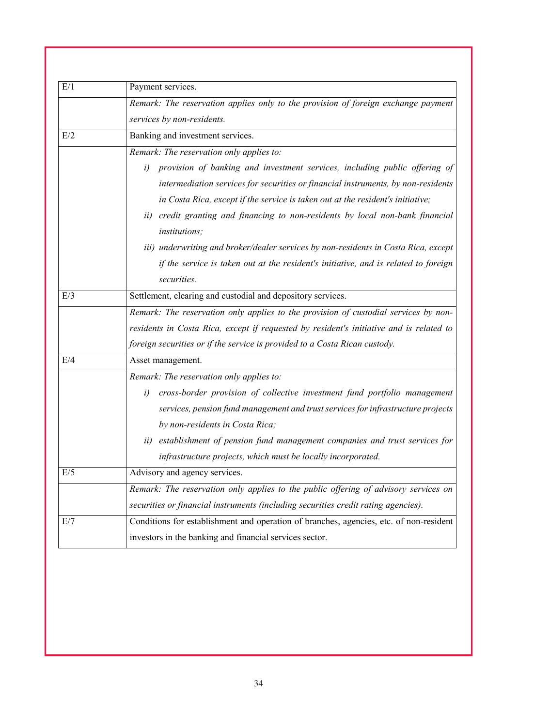| E/1 | Payment services.                                                                                               |
|-----|-----------------------------------------------------------------------------------------------------------------|
|     | Remark: The reservation applies only to the provision of foreign exchange payment<br>services by non-residents. |
| E/2 | Banking and investment services.                                                                                |
|     | Remark: The reservation only applies to:                                                                        |
|     | provision of banking and investment services, including public offering of<br>i)                                |
|     | intermediation services for securities or financial instruments, by non-residents                               |
|     | in Costa Rica, except if the service is taken out at the resident's initiative;                                 |
|     | ii) credit granting and financing to non-residents by local non-bank financial                                  |
|     | <i>institutions;</i>                                                                                            |
|     | iii) underwriting and broker/dealer services by non-residents in Costa Rica, except                             |
|     | if the service is taken out at the resident's initiative, and is related to foreign                             |
|     | securities.                                                                                                     |
| E/3 | Settlement, clearing and custodial and depository services.                                                     |
|     | Remark: The reservation only applies to the provision of custodial services by non-                             |
|     | residents in Costa Rica, except if requested by resident's initiative and is related to                         |
|     | foreign securities or if the service is provided to a Costa Rican custody.                                      |
| E/4 | Asset management.                                                                                               |
|     | Remark: The reservation only applies to:                                                                        |
|     | cross-border provision of collective investment fund portfolio management<br>i)                                 |
|     | services, pension fund management and trust services for infrastructure projects                                |
|     | by non-residents in Costa Rica;                                                                                 |
|     | establishment of pension fund management companies and trust services for<br>ii)                                |
|     | infrastructure projects, which must be locally incorporated.                                                    |
| E/5 | Advisory and agency services.                                                                                   |
|     | Remark: The reservation only applies to the public offering of advisory services on                             |
|     | securities or financial instruments (including securities credit rating agencies).                              |
| E/7 | Conditions for establishment and operation of branches, agencies, etc. of non-resident                          |
|     | investors in the banking and financial services sector.                                                         |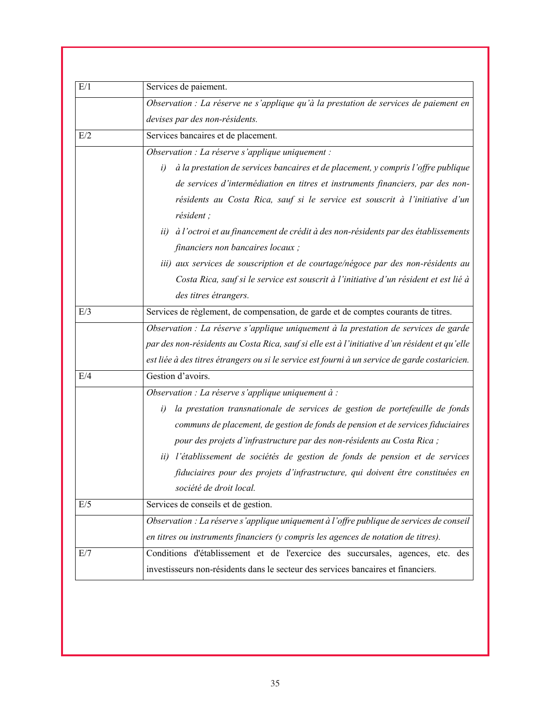| E/1 | Services de paiement.                                                                          |
|-----|------------------------------------------------------------------------------------------------|
|     | Observation : La réserve ne s'applique qu'à la prestation de services de paiement en           |
|     | devises par des non-résidents.                                                                 |
| E/2 | Services bancaires et de placement.                                                            |
|     | Observation : La réserve s'applique uniquement :                                               |
|     | à la prestation de services bancaires et de placement, y compris l'offre publique<br>i)        |
|     | de services d'intermédiation en titres et instruments financiers, par des non-                 |
|     | résidents au Costa Rica, sauf si le service est souscrit à l'initiative d'un                   |
|     | résident;                                                                                      |
|     | ii) à l'octroi et au financement de crédit à des non-résidents par des établissements          |
|     | financiers non bancaires locaux;                                                               |
|     | iii) aux services de souscription et de courtage/négoce par des non-résidents au               |
|     | Costa Rica, sauf si le service est souscrit à l'initiative d'un résident et est lié à          |
|     | des titres étrangers.                                                                          |
| E/3 | Services de règlement, de compensation, de garde et de comptes courants de titres.             |
|     | Observation : La réserve s'applique uniquement à la prestation de services de garde            |
|     | par des non-résidents au Costa Rica, sauf si elle est à l'initiative d'un résident et qu'elle  |
|     | est liée à des titres étrangers ou si le service est fourni à un service de garde costaricien. |
| E/4 | Gestion d'avoirs.                                                                              |
|     | Observation : La réserve s'applique uniquement à :                                             |
|     | la prestation transnationale de services de gestion de portefeuille de fonds<br>i)             |
|     | communs de placement, de gestion de fonds de pension et de services fiduciaires                |
|     | pour des projets d'infrastructure par des non-résidents au Costa Rica ;                        |
|     | l'établissement de sociétés de gestion de fonds de pension et de services<br>ii)               |
|     | fiduciaires pour des projets d'infrastructure, qui doivent être constituées en                 |
|     | société de droit local.                                                                        |
| E/5 | Services de conseils et de gestion.                                                            |
|     | Observation : La réserve s'applique uniquement à l'offre publique de services de conseil       |
|     | en titres ou instruments financiers (y compris les agences de notation de titres).             |
| E/7 | Conditions d'établissement et de l'exercice des succursales, agences, etc. des                 |
|     | investisseurs non-résidents dans le secteur des services bancaires et financiers.              |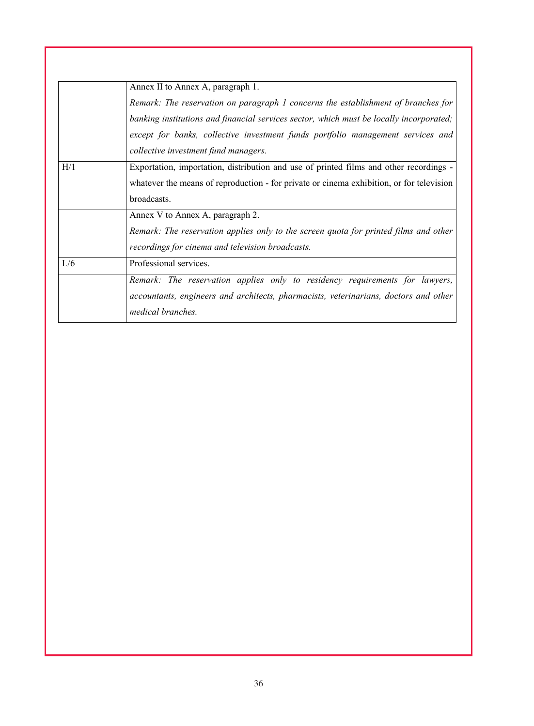|     | Annex II to Annex A, paragraph 1.                                                        |
|-----|------------------------------------------------------------------------------------------|
|     | Remark: The reservation on paragraph 1 concerns the establishment of branches for        |
|     | banking institutions and financial services sector, which must be locally incorporated;  |
|     | except for banks, collective investment funds portfolio management services and          |
|     | collective investment fund managers.                                                     |
| H/1 | Exportation, importation, distribution and use of printed films and other recordings -   |
|     | whatever the means of reproduction - for private or cinema exhibition, or for television |
|     | broadcasts.                                                                              |
|     | Annex V to Annex A, paragraph 2.                                                         |
|     | Remark: The reservation applies only to the screen quota for printed films and other     |
|     | recordings for cinema and television broadcasts.                                         |
| L/6 | Professional services.                                                                   |
|     | Remark: The reservation applies only to residency requirements for lawyers,              |
|     | accountants, engineers and architects, pharmacists, veterinarians, doctors and other     |
|     | medical branches.                                                                        |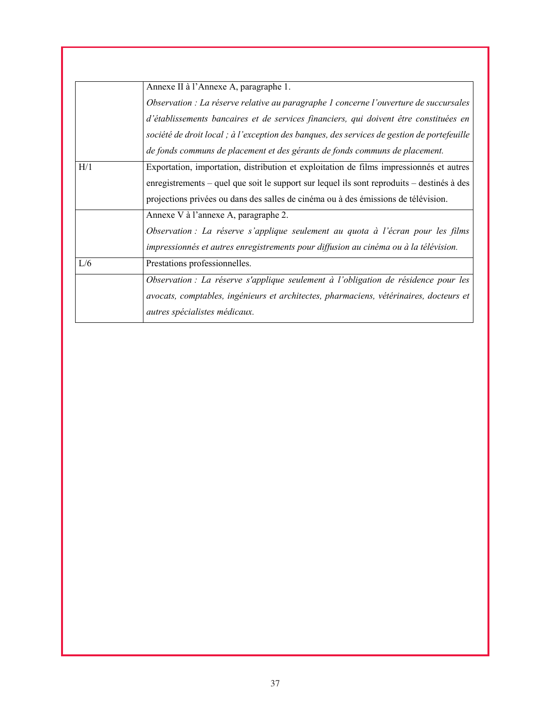|     | Annexe II à l'Annexe A, paragraphe 1.                                                       |
|-----|---------------------------------------------------------------------------------------------|
|     | Observation : La réserve relative au paragraphe 1 concerne l'ouverture de succursales       |
|     | d'établissements bancaires et de services financiers, qui doivent être constituées en       |
|     | société de droit local ; à l'exception des banques, des services de gestion de portefeuille |
|     | de fonds communs de placement et des gérants de fonds communs de placement.                 |
| H/1 | Exportation, importation, distribution et exploitation de films impressionnés et autres     |
|     | enregistrements – quel que soit le support sur lequel ils sont reproduits – destinés à des  |
|     | projections privées ou dans des salles de cinéma ou à des émissions de télévision.          |
|     | Annexe V à l'annexe A, paragraphe 2.                                                        |
|     | Observation : La réserve s'applique seulement au quota à l'écran pour les films             |
|     | impressionnés et autres enregistrements pour diffusion au cinéma ou à la télévision.        |
| L/6 | Prestations professionnelles.                                                               |
|     | Observation : La réserve s'applique seulement à l'obligation de résidence pour les          |
|     | avocats, comptables, ingénieurs et architectes, pharmaciens, vétérinaires, docteurs et      |
|     | <i>autres spécialistes médicaux.</i>                                                        |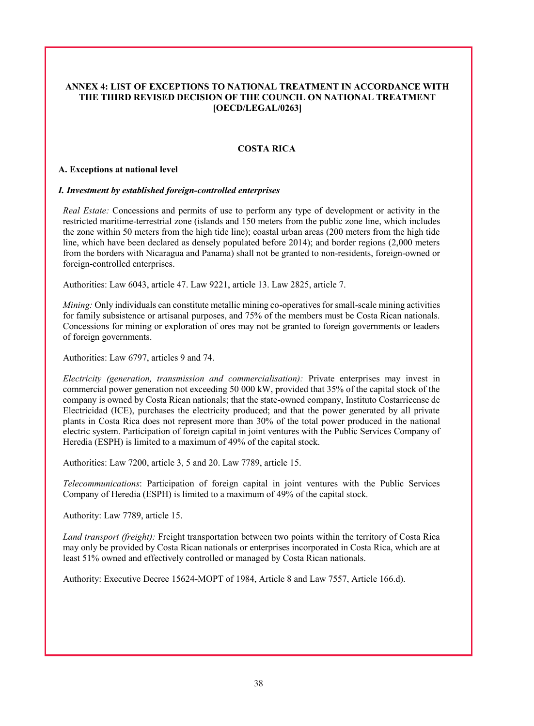## **ANNEX 4: LIST OF EXCEPTIONS TO NATIONAL TREATMENT IN ACCORDANCE WITH THE THIRD REVISED DECISION OF THE COUNCIL ON NATIONAL TREATMENT [OECD/LEGAL/0263]**

## **COSTA RICA**

#### **A. Exceptions at national level**

#### *I. Investment by established foreign-controlled enterprises*

*Real Estate:* Concessions and permits of use to perform any type of development or activity in the restricted maritime-terrestrial zone (islands and 150 meters from the public zone line, which includes the zone within 50 meters from the high tide line); coastal urban areas (200 meters from the high tide line, which have been declared as densely populated before 2014); and border regions (2,000 meters from the borders with Nicaragua and Panama) shall not be granted to non-residents, foreign-owned or foreign-controlled enterprises.

Authorities: Law 6043, article 47. Law 9221, article 13. Law 2825, article 7.

*Mining:* Only individuals can constitute metallic mining co-operatives for small-scale mining activities for family subsistence or artisanal purposes, and 75% of the members must be Costa Rican nationals. Concessions for mining or exploration of ores may not be granted to foreign governments or leaders of foreign governments.

Authorities: Law 6797, articles 9 and 74.

*Electricity (generation, transmission and commercialisation):* Private enterprises may invest in commercial power generation not exceeding 50 000 kW, provided that 35% of the capital stock of the company is owned by Costa Rican nationals; that the state-owned company, Instituto Costarricense de Electricidad (ICE), purchases the electricity produced; and that the power generated by all private plants in Costa Rica does not represent more than 30% of the total power produced in the national electric system. Participation of foreign capital in joint ventures with the Public Services Company of Heredia (ESPH) is limited to a maximum of 49% of the capital stock.

Authorities: Law 7200, article 3, 5 and 20. Law 7789, article 15.

*Telecommunications*: Participation of foreign capital in joint ventures with the Public Services Company of Heredia (ESPH) is limited to a maximum of 49% of the capital stock.

Authority: Law 7789, article 15.

*Land transport (freight):* Freight transportation between two points within the territory of Costa Rica may only be provided by Costa Rican nationals or enterprises incorporated in Costa Rica, which are at least 51% owned and effectively controlled or managed by Costa Rican nationals.

Authority: Executive Decree 15624-MOPT of 1984, Article 8 and Law 7557, Article 166.d).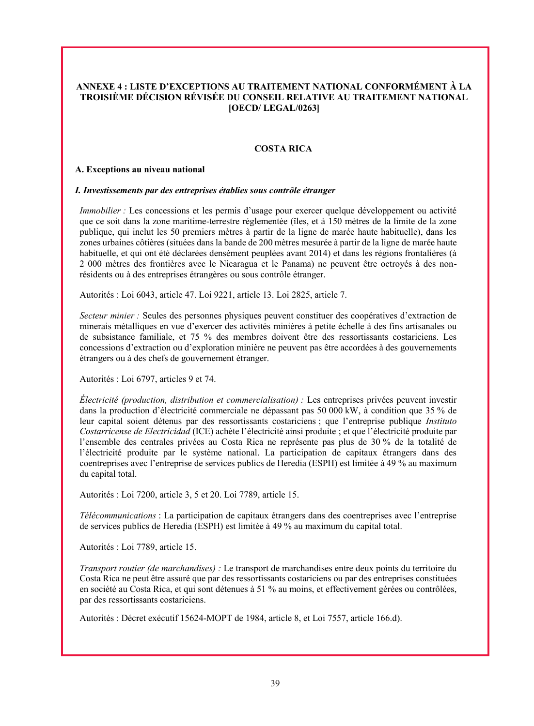# **ANNEXE 4 : LISTE D'EXCEPTIONS AU TRAITEMENT NATIONAL CONFORMÉMENT À LA TROISIÈME DÉCISION RÉVISÉE DU CONSEIL RELATIVE AU TRAITEMENT NATIONAL [OECD/ LEGAL/0263]**

### **COSTA RICA**

#### **A. Exceptions au niveau national**

#### *I. Investissements par des entreprises établies sous contrôle étranger*

*Immobilier* : Les concessions et les permis d'usage pour exercer quelque développement ou activité que ce soit dans la zone maritime-terrestre réglementée (îles, et à 150 mètres de la limite de la zone publique, qui inclut les 50 premiers mètres à partir de la ligne de marée haute habituelle), dans les zones urbaines côtières (situées dans la bande de 200 mètres mesurée à partir de la ligne de marée haute habituelle, et qui ont été déclarées densément peuplées avant 2014) et dans les régions frontalières (à 2 000 mètres des frontières avec le Nicaragua et le Panama) ne peuvent être octroyés à des nonrésidents ou à des entreprises étrangères ou sous contrôle étranger.

Autorités : Loi 6043, article 47. Loi 9221, article 13. Loi 2825, article 7.

*Secteur minier :* Seules des personnes physiques peuvent constituer des coopératives d'extraction de minerais métalliques en vue d'exercer des activités minières à petite échelle à des fins artisanales ou de subsistance familiale, et 75 % des membres doivent être des ressortissants costariciens. Les concessions d'extraction ou d'exploration minière ne peuvent pas être accordées à des gouvernements étrangers ou à des chefs de gouvernement étranger.

Autorités : Loi 6797, articles 9 et 74.

*Électricité (production, distribution et commercialisation) :* Les entreprises privées peuvent investir dans la production d'électricité commerciale ne dépassant pas 50 000 kW, à condition que 35 % de leur capital soient détenus par des ressortissants costariciens ; que l'entreprise publique *Instituto Costarricense de Electricidad* (ICE) achète l'électricité ainsi produite ; et que l'électricité produite par l'ensemble des centrales privées au Costa Rica ne représente pas plus de 30 % de la totalité de l'électricité produite par le système national. La participation de capitaux étrangers dans des coentreprises avec l'entreprise de services publics de Heredia (ESPH) est limitée à 49 % au maximum du capital total.

Autorités : Loi 7200, article 3, 5 et 20. Loi 7789, article 15.

*Télécommunications* : La participation de capitaux étrangers dans des coentreprises avec l'entreprise de services publics de Heredia (ESPH) est limitée à 49 % au maximum du capital total.

Autorités : Loi 7789, article 15.

*Transport routier (de marchandises) :* Le transport de marchandises entre deux points du territoire du Costa Rica ne peut être assuré que par des ressortissants costariciens ou par des entreprises constituées en société au Costa Rica, et qui sont détenues à 51 % au moins, et effectivement gérées ou contrôlées, par des ressortissants costariciens.

Autorités : Décret exécutif 15624-MOPT de 1984, article 8, et Loi 7557, article 166.d).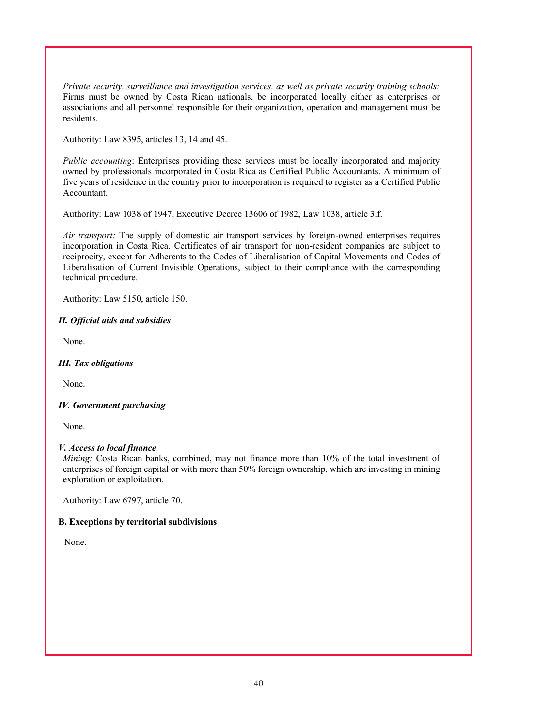*Private security, surveillance and investigation services, as well as private security training schools:* Firms must be owned by Costa Rican nationals, be incorporated locally either as enterprises or associations and all personnel responsible for their organization, operation and management must be residents.

Authority: Law 8395, articles 13, 14 and 45.

*Public accounting*: Enterprises providing these services must be locally incorporated and majority owned by professionals incorporated in Costa Rica as Certified Public Accountants. A minimum of five years of residence in the country prior to incorporation is required to register as a Certified Public Accountant.

Authority: Law 1038 of 1947, Executive Decree 13606 of 1982, Law 1038, article 3.f.

*Air transport:* The supply of domestic air transport services by foreign-owned enterprises requires incorporation in Costa Rica. Certificates of air transport for non-resident companies are subject to reciprocity, except for Adherents to the Codes of Liberalisation of Capital Movements and Codes of Liberalisation of Current Invisible Operations, subject to their compliance with the corresponding technical procedure.

Authority: Law 5150, article 150.

# *II. Official aids and subsidies*

None.

## *III. Tax obligations*

None.

## *IV. Government purchasing*

None.

# *V. Access to local finance*

*Mining:* Costa Rican banks, combined, may not finance more than 10% of the total investment of enterprises of foreign capital or with more than 50% foreign ownership, which are investing in mining exploration or exploitation.

Authority: Law 6797, article 70.

# **B. Exceptions by territorial subdivisions**

None.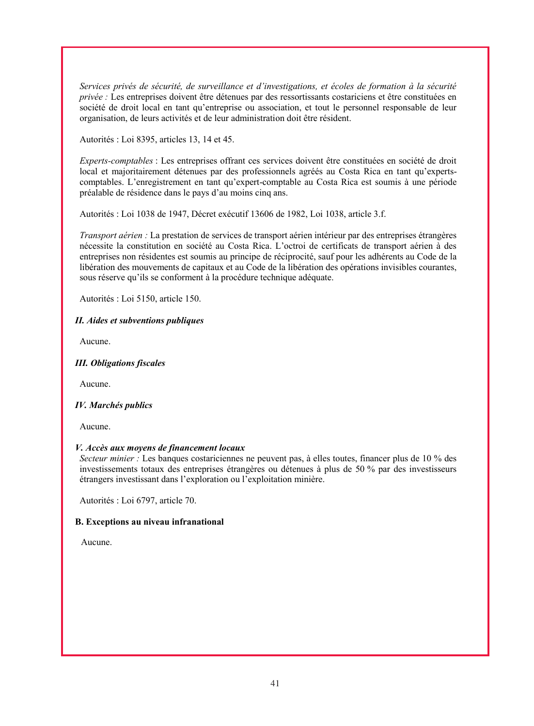*Services privés de sécurité, de surveillance et d'investigations, et écoles de formation à la sécurité privée :* Les entreprises doivent être détenues par des ressortissants costariciens et être constituées en société de droit local en tant qu'entreprise ou association, et tout le personnel responsable de leur organisation, de leurs activités et de leur administration doit être résident.

Autorités : Loi 8395, articles 13, 14 et 45.

*Experts-comptables* : Les entreprises offrant ces services doivent être constituées en société de droit local et majoritairement détenues par des professionnels agréés au Costa Rica en tant qu'expertscomptables. L'enregistrement en tant qu'expert-comptable au Costa Rica est soumis à une période préalable de résidence dans le pays d'au moins cinq ans.

Autorités : Loi 1038 de 1947, Décret exécutif 13606 de 1982, Loi 1038, article 3.f.

*Transport aérien :* La prestation de services de transport aérien intérieur par des entreprises étrangères nécessite la constitution en société au Costa Rica. L'octroi de certificats de transport aérien à des entreprises non résidentes est soumis au principe de réciprocité, sauf pour les adhérents au Code de la libération des mouvements de capitaux et au Code de la libération des opérations invisibles courantes, sous réserve qu'ils se conforment à la procédure technique adéquate.

Autorités : Loi 5150, article 150.

## *II. Aides et subventions publiques*

Aucune.

### *III. Obligations fiscales*

Aucune.

## *IV. Marchés publics*

Aucune.

## *V. Accès aux moyens de financement locaux*

*Secteur minier :* Les banques costariciennes ne peuvent pas, à elles toutes, financer plus de 10 % des investissements totaux des entreprises étrangères ou détenues à plus de 50 % par des investisseurs étrangers investissant dans l'exploration ou l'exploitation minière.

Autorités : Loi 6797, article 70.

## **B. Exceptions au niveau infranational**

Aucune.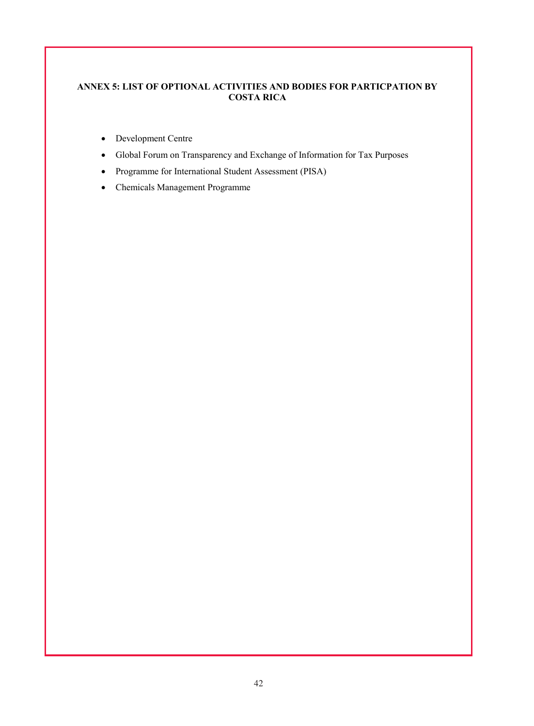# **ANNEX 5: LIST OF OPTIONAL ACTIVITIES AND BODIES FOR PARTICPATION BY COSTA RICA**

- Development Centre
- Global Forum on Transparency and Exchange of Information for Tax Purposes
- Programme for International Student Assessment (PISA)
- Chemicals Management Programme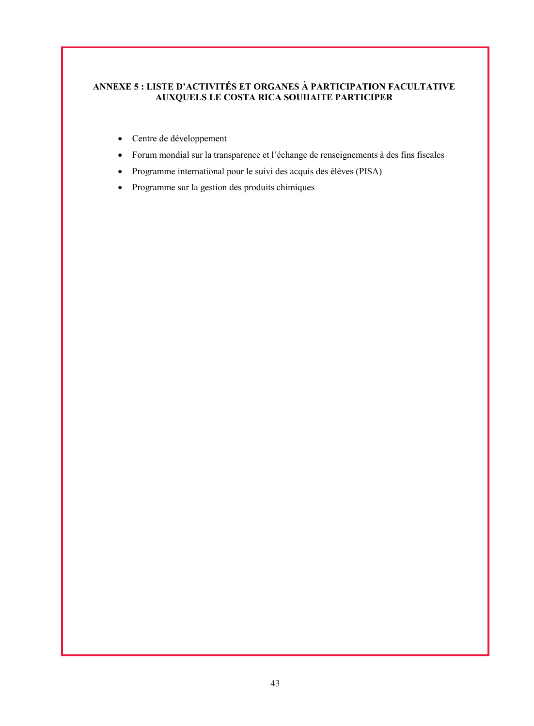# **ANNEXE 5 : LISTE D'ACTIVITÉS ET ORGANES À PARTICIPATION FACULTATIVE AUXQUELS LE COSTA RICA SOUHAITE PARTICIPER**

- Centre de développement
- Forum mondial sur la transparence et l'échange de renseignements à des fins fiscales
- Programme international pour le suivi des acquis des élèves (PISA)
- Programme sur la gestion des produits chimiques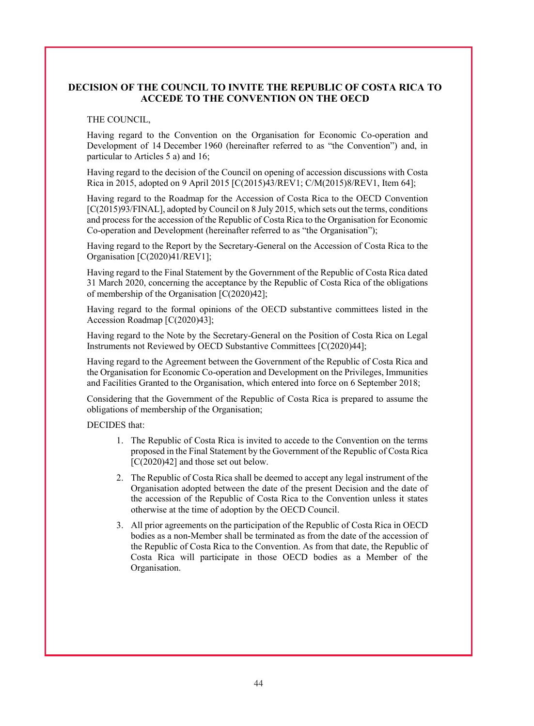# **DECISION OF THE COUNCIL TO INVITE THE REPUBLIC OF COSTA RICA TO ACCEDE TO THE CONVENTION ON THE OECD**

#### THE COUNCIL,

Having regard to the Convention on the Organisation for Economic Co-operation and Development of 14 December 1960 (hereinafter referred to as "the Convention") and, in particular to Articles 5 a) and 16;

Having regard to the decision of the Council on opening of accession discussions with Costa Rica in 2015, adopted on 9 April 2015 [C(2015)43/REV1; C/M(2015)8/REV1, Item 64];

Having regard to the Roadmap for the Accession of Costa Rica to the OECD Convention [C(2015)93/FINAL], adopted by Council on 8 July 2015, which sets out the terms, conditions and process for the accession of the Republic of Costa Rica to the Organisation for Economic Co-operation and Development (hereinafter referred to as "the Organisation");

Having regard to the Report by the Secretary-General on the Accession of Costa Rica to the Organisation [C(2020)41/REV1];

Having regard to the Final Statement by the Government of the Republic of Costa Rica dated 31 March 2020, concerning the acceptance by the Republic of Costa Rica of the obligations of membership of the Organisation [C(2020)42];

Having regard to the formal opinions of the OECD substantive committees listed in the Accession Roadmap [C(2020)43];

Having regard to the Note by the Secretary-General on the Position of Costa Rica on Legal Instruments not Reviewed by OECD Substantive Committees [C(2020)44];

Having regard to the Agreement between the Government of the Republic of Costa Rica and the Organisation for Economic Co-operation and Development on the Privileges, Immunities and Facilities Granted to the Organisation, which entered into force on 6 September 2018;

Considering that the Government of the Republic of Costa Rica is prepared to assume the obligations of membership of the Organisation;

DECIDES that:

- 1. The Republic of Costa Rica is invited to accede to the Convention on the terms proposed in the Final Statement by the Government of the Republic of Costa Rica [C(2020)42] and those set out below.
- 2. The Republic of Costa Rica shall be deemed to accept any legal instrument of the Organisation adopted between the date of the present Decision and the date of the accession of the Republic of Costa Rica to the Convention unless it states otherwise at the time of adoption by the OECD Council.
- 3. All prior agreements on the participation of the Republic of Costa Rica in OECD bodies as a non-Member shall be terminated as from the date of the accession of the Republic of Costa Rica to the Convention. As from that date, the Republic of Costa Rica will participate in those OECD bodies as a Member of the Organisation.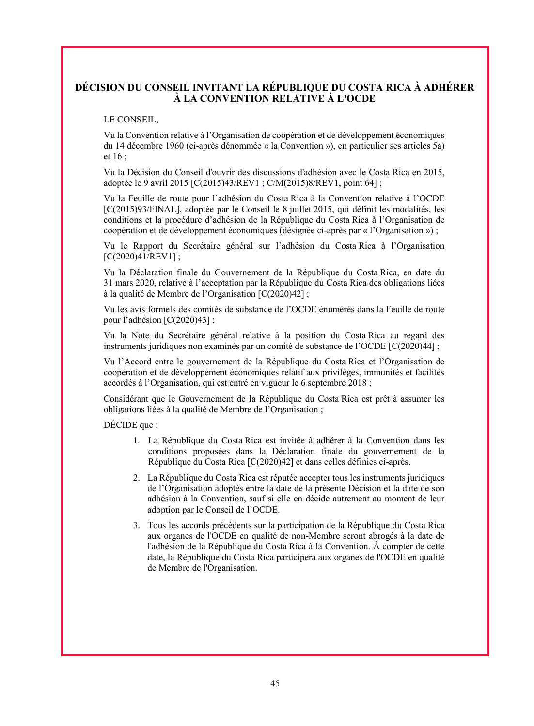# **DÉCISION DU CONSEIL INVITANT LA RÉPUBLIQUE DU COSTA RICA À ADHÉRER À LA CONVENTION RELATIVE À L'OCDE**

### LE CONSEIL,

Vu la Convention relative à l'Organisation de coopération et de développement économiques du 14 décembre 1960 (ci-après dénommée « la Convention »), en particulier ses articles 5a) et 16 ;

Vu la Décision du Conseil d'ouvrir des discussions d'adhésion avec le Costa Rica en 2015, adoptée le 9 avril 2015 [C(2015)43/REV1 ; C/M(2015)8/REV1, point 64] ;

Vu la Feuille de route pour l'adhésion du Costa Rica à la Convention relative à l'OCDE [C(2015)93/FINAL], adoptée par le Conseil le 8 juillet 2015, qui définit les modalités, les conditions et la procédure d'adhésion de la République du Costa Rica à l'Organisation de coopération et de développement économiques (désignée ci-après par « l'Organisation ») ;

Vu le Rapport du Secrétaire général sur l'adhésion du Costa Rica à l'Organisation [C(2020)41/REV1];

Vu la Déclaration finale du Gouvernement de la République du Costa Rica, en date du 31 mars 2020, relative à l'acceptation par la République du Costa Rica des obligations liées à la qualité de Membre de l'Organisation [C(2020)42] ;

Vu les avis formels des comités de substance de l'OCDE énumérés dans la Feuille de route pour l'adhésion [C(2020)43] ;

Vu la Note du Secrétaire général relative à la position du Costa Rica au regard des instruments juridiques non examinés par un comité de substance de l'OCDE [C(2020)44] ;

Vu l'Accord entre le gouvernement de la République du Costa Rica et l'Organisation de coopération et de développement économiques relatif aux privilèges, immunités et facilités accordés à l'Organisation, qui est entré en vigueur le 6 septembre 2018 ;

Considérant que le Gouvernement de la République du Costa Rica est prêt à assumer les obligations liées à la qualité de Membre de l'Organisation ;

DÉCIDE que :

- 1. La République du Costa Rica est invitée à adhérer à la Convention dans les conditions proposées dans la Déclaration finale du gouvernement de la République du Costa Rica [C(2020)42] et dans celles définies ci-après.
- 2. La République du Costa Rica est réputée accepter tous les instruments juridiques de l'Organisation adoptés entre la date de la présente Décision et la date de son adhésion à la Convention, sauf si elle en décide autrement au moment de leur adoption par le Conseil de l'OCDE.
- 3. Tous les accords précédents sur la participation de la République du Costa Rica aux organes de l'OCDE en qualité de non-Membre seront abrogés à la date de l'adhésion de la République du Costa Rica à la Convention. À compter de cette date, la République du Costa Rica participera aux organes de l'OCDE en qualité de Membre de l'Organisation.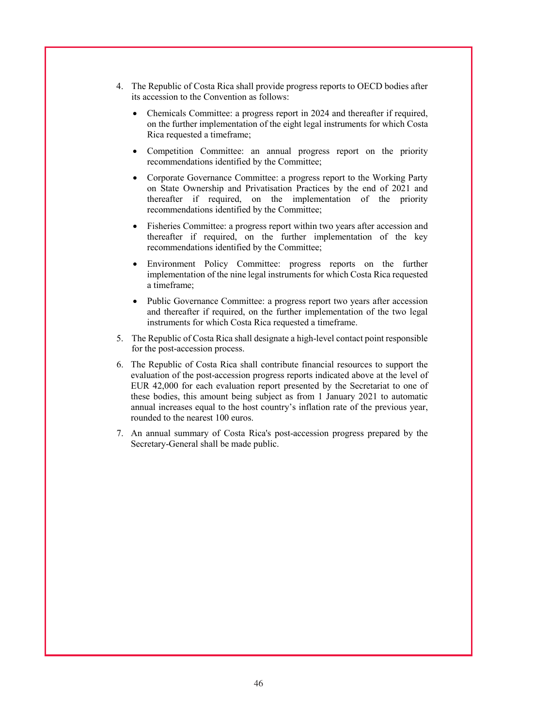- 4. The Republic of Costa Rica shall provide progress reports to OECD bodies after its accession to the Convention as follows:
	- Chemicals Committee: a progress report in 2024 and thereafter if required, on the further implementation of the eight legal instruments for which Costa Rica requested a timeframe;
	- Competition Committee: an annual progress report on the priority recommendations identified by the Committee;
	- Corporate Governance Committee: a progress report to the Working Party on State Ownership and Privatisation Practices by the end of 2021 and thereafter if required, on the implementation of the priority recommendations identified by the Committee;
	- Fisheries Committee: a progress report within two years after accession and thereafter if required, on the further implementation of the key recommendations identified by the Committee;
	- Environment Policy Committee: progress reports on the further implementation of the nine legal instruments for which Costa Rica requested a timeframe;
	- Public Governance Committee: a progress report two years after accession and thereafter if required, on the further implementation of the two legal instruments for which Costa Rica requested a timeframe.
- 5. The Republic of Costa Rica shall designate a high-level contact point responsible for the post-accession process.
- 6. The Republic of Costa Rica shall contribute financial resources to support the evaluation of the post-accession progress reports indicated above at the level of EUR 42,000 for each evaluation report presented by the Secretariat to one of these bodies, this amount being subject as from 1 January 2021 to automatic annual increases equal to the host country's inflation rate of the previous year, rounded to the nearest 100 euros.
- 7. An annual summary of Costa Rica's post-accession progress prepared by the Secretary-General shall be made public.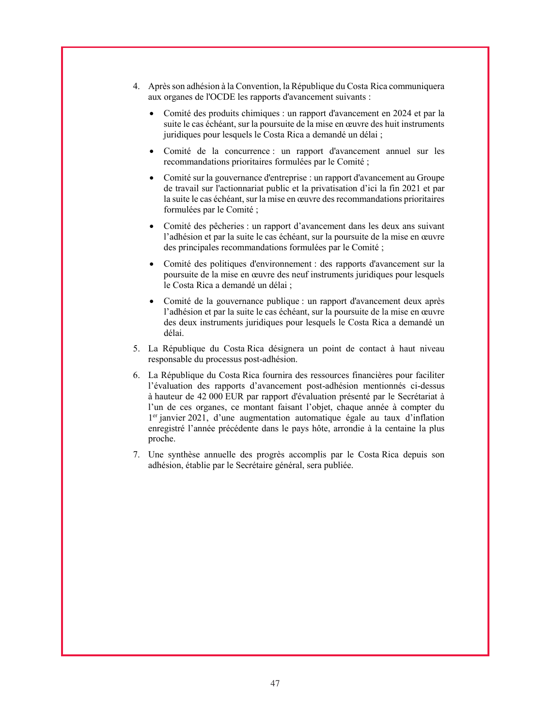- 4. Après son adhésion à la Convention, la République du Costa Rica communiquera aux organes de l'OCDE les rapports d'avancement suivants :
	- Comité des produits chimiques : un rapport d'avancement en 2024 et par la suite le cas échéant, sur la poursuite de la mise en œuvre des huit instruments juridiques pour lesquels le Costa Rica a demandé un délai ;
	- Comité de la concurrence : un rapport d'avancement annuel sur les recommandations prioritaires formulées par le Comité ;
	- Comité sur la gouvernance d'entreprise : un rapport d'avancement au Groupe de travail sur l'actionnariat public et la privatisation d'ici la fin 2021 et par la suite le cas échéant, sur la mise en œuvre des recommandations prioritaires formulées par le Comité ;
	- Comité des pêcheries : un rapport d'avancement dans les deux ans suivant l'adhésion et par la suite le cas échéant, sur la poursuite de la mise en œuvre des principales recommandations formulées par le Comité ;
	- Comité des politiques d'environnement : des rapports d'avancement sur la poursuite de la mise en œuvre des neuf instruments juridiques pour lesquels le Costa Rica a demandé un délai ;
	- Comité de la gouvernance publique : un rapport d'avancement deux après l'adhésion et par la suite le cas échéant, sur la poursuite de la mise en œuvre des deux instruments juridiques pour lesquels le Costa Rica a demandé un délai.
- 5. La République du Costa Rica désignera un point de contact à haut niveau responsable du processus post-adhésion.
- 6. La République du Costa Rica fournira des ressources financières pour faciliter l'évaluation des rapports d'avancement post-adhésion mentionnés ci-dessus à hauteur de 42 000 EUR par rapport d'évaluation présenté par le Secrétariat à l'un de ces organes, ce montant faisant l'objet, chaque année à compter du 1er janvier 2021, d'une augmentation automatique égale au taux d'inflation enregistré l'année précédente dans le pays hôte, arrondie à la centaine la plus proche.
- 7. Une synthèse annuelle des progrès accomplis par le Costa Rica depuis son adhésion, établie par le Secrétaire général, sera publiée.